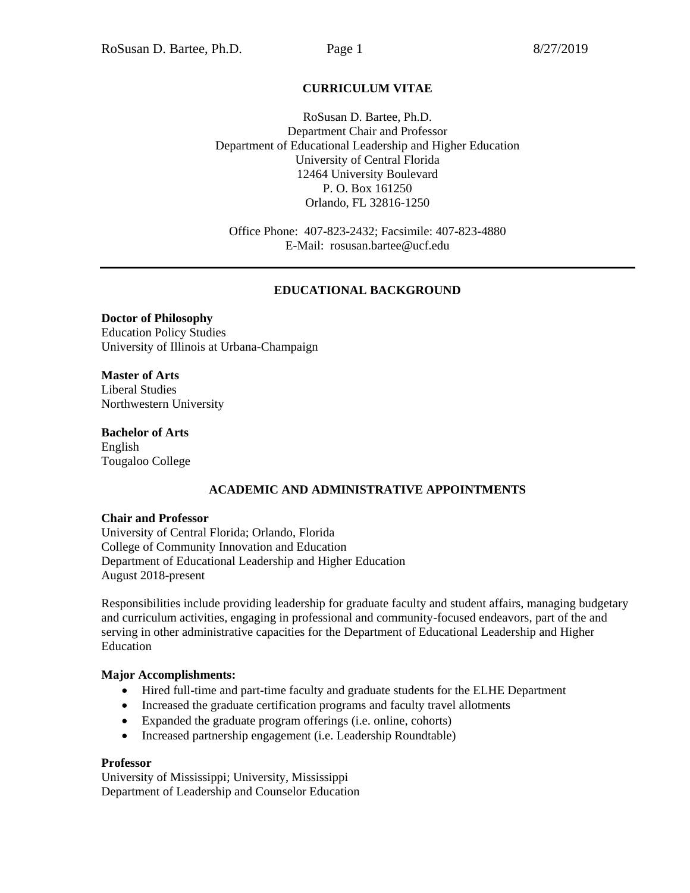# **CURRICULUM VITAE**

RoSusan D. Bartee, Ph.D. Department Chair and Professor Department of Educational Leadership and Higher Education University of Central Florida 12464 University Boulevard P. O. Box 161250 Orlando, FL 32816-1250

Office Phone: 407-823-2432; Facsimile: 407-823-4880 E-Mail: rosusan.bartee@ucf.edu

#### **EDUCATIONAL BACKGROUND**

**Doctor of Philosophy** Education Policy Studies University of Illinois at Urbana-Champaign

**Master of Arts** Liberal Studies Northwestern University

**Bachelor of Arts** English Tougaloo College

### **ACADEMIC AND ADMINISTRATIVE APPOINTMENTS**

#### **Chair and Professor**

University of Central Florida; Orlando, Florida College of Community Innovation and Education Department of Educational Leadership and Higher Education August 2018-present

Responsibilities include providing leadership for graduate faculty and student affairs, managing budgetary and curriculum activities, engaging in professional and community-focused endeavors, part of the and serving in other administrative capacities for the Department of Educational Leadership and Higher Education

#### **Major Accomplishments:**

- Hired full-time and part-time faculty and graduate students for the ELHE Department
- Increased the graduate certification programs and faculty travel allotments
- Expanded the graduate program offerings (i.e. online, cohorts)
- Increased partnership engagement (i.e. Leadership Roundtable)

#### **Professor**

University of Mississippi; University, Mississippi Department of Leadership and Counselor Education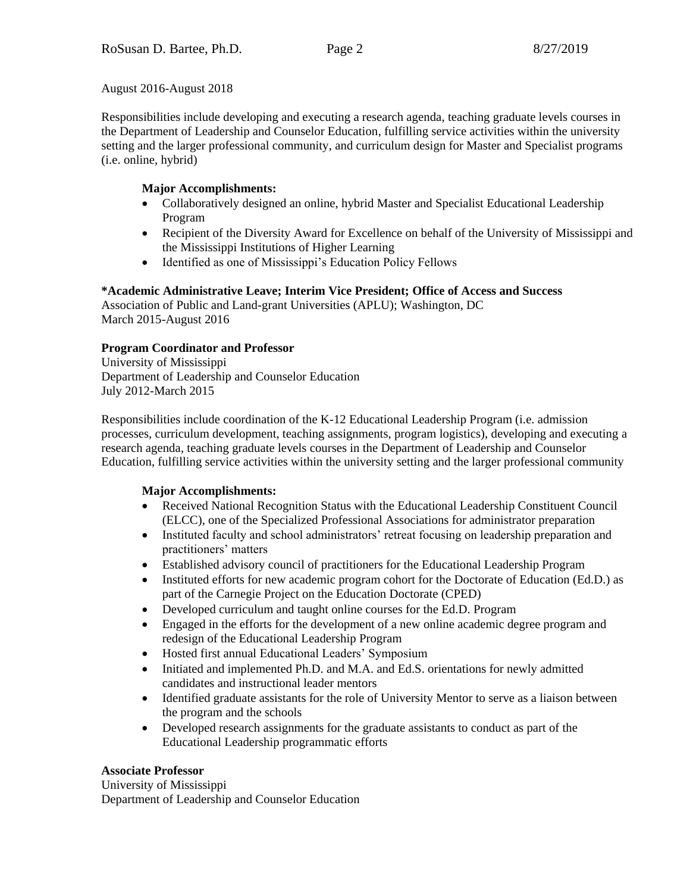August 2016-August 2018

Responsibilities include developing and executing a research agenda, teaching graduate levels courses in the Department of Leadership and Counselor Education, fulfilling service activities within the university setting and the larger professional community, and curriculum design for Master and Specialist programs (i.e. online, hybrid)

# **Major Accomplishments:**

- Collaboratively designed an online, hybrid Master and Specialist Educational Leadership Program
- Recipient of the Diversity Award for Excellence on behalf of the University of Mississippi and the Mississippi Institutions of Higher Learning
- Identified as one of Mississippi's Education Policy Fellows

# **\*Academic Administrative Leave; Interim Vice President; Office of Access and Success**

Association of Public and Land-grant Universities (APLU); Washington, DC March 2015-August 2016

# **Program Coordinator and Professor**

University of Mississippi Department of Leadership and Counselor Education July 2012-March 2015

Responsibilities include coordination of the K-12 Educational Leadership Program (i.e. admission processes, curriculum development, teaching assignments, program logistics), developing and executing a research agenda, teaching graduate levels courses in the Department of Leadership and Counselor Education, fulfilling service activities within the university setting and the larger professional community

# **Major Accomplishments:**

- Received National Recognition Status with the Educational Leadership Constituent Council (ELCC), one of the Specialized Professional Associations for administrator preparation
- Instituted faculty and school administrators' retreat focusing on leadership preparation and practitioners' matters
- Established advisory council of practitioners for the Educational Leadership Program
- Instituted efforts for new academic program cohort for the Doctorate of Education (Ed.D.) as part of the Carnegie Project on the Education Doctorate (CPED)
- Developed curriculum and taught online courses for the Ed.D. Program
- Engaged in the efforts for the development of a new online academic degree program and redesign of the Educational Leadership Program
- Hosted first annual Educational Leaders' Symposium
- Initiated and implemented Ph.D. and M.A. and Ed.S. orientations for newly admitted candidates and instructional leader mentors
- Identified graduate assistants for the role of University Mentor to serve as a liaison between the program and the schools
- Developed research assignments for the graduate assistants to conduct as part of the Educational Leadership programmatic efforts

# **Associate Professor**

University of Mississippi Department of Leadership and Counselor Education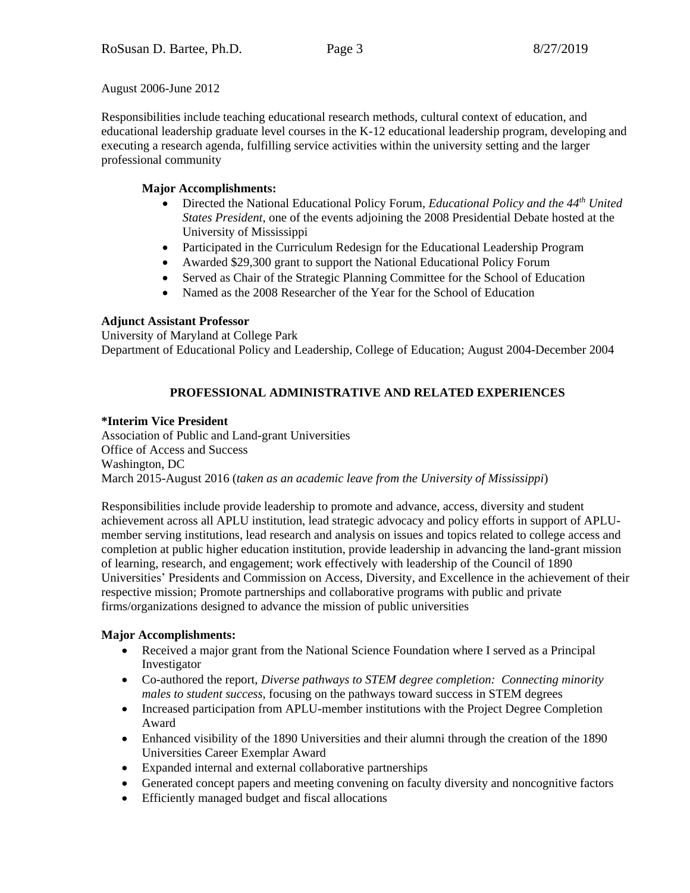August 2006-June 2012

Responsibilities include teaching educational research methods, cultural context of education, and educational leadership graduate level courses in the K-12 educational leadership program, developing and executing a research agenda, fulfilling service activities within the university setting and the larger professional community

# **Major Accomplishments:**

- Directed the National Educational Policy Forum, *Educational Policy and the 44th United States President*, one of the events adjoining the 2008 Presidential Debate hosted at the University of Mississippi
- Participated in the Curriculum Redesign for the Educational Leadership Program
- Awarded \$29,300 grant to support the National Educational Policy Forum
- Served as Chair of the Strategic Planning Committee for the School of Education
- Named as the 2008 Researcher of the Year for the School of Education

# **Adjunct Assistant Professor**

University of Maryland at College Park Department of Educational Policy and Leadership, College of Education; August 2004-December 2004

# **PROFESSIONAL ADMINISTRATIVE AND RELATED EXPERIENCES**

# **\*Interim Vice President**

Association of Public and Land-grant Universities Office of Access and Success Washington, DC March 2015-August 2016 (*taken as an academic leave from the University of Mississippi*)

Responsibilities include provide leadership to promote and advance, access, diversity and student achievement across all APLU institution, lead strategic advocacy and policy efforts in support of APLUmember serving institutions, lead research and analysis on issues and topics related to college access and completion at public higher education institution, provide leadership in advancing the land-grant mission of learning, research, and engagement; work effectively with leadership of the Council of 1890 Universities' Presidents and Commission on Access, Diversity, and Excellence in the achievement of their respective mission; Promote partnerships and collaborative programs with public and private firms/organizations designed to advance the mission of public universities

# **Major Accomplishments:**

- Received a major grant from the National Science Foundation where I served as a Principal Investigator
- Co-authored the report, *Diverse pathways to STEM degree completion: Connecting minority males to student success*, focusing on the pathways toward success in STEM degrees
- Increased participation from APLU-member institutions with the Project Degree Completion Award
- Enhanced visibility of the 1890 Universities and their alumni through the creation of the 1890 Universities Career Exemplar Award
- Expanded internal and external collaborative partnerships
- Generated concept papers and meeting convening on faculty diversity and noncognitive factors
- Efficiently managed budget and fiscal allocations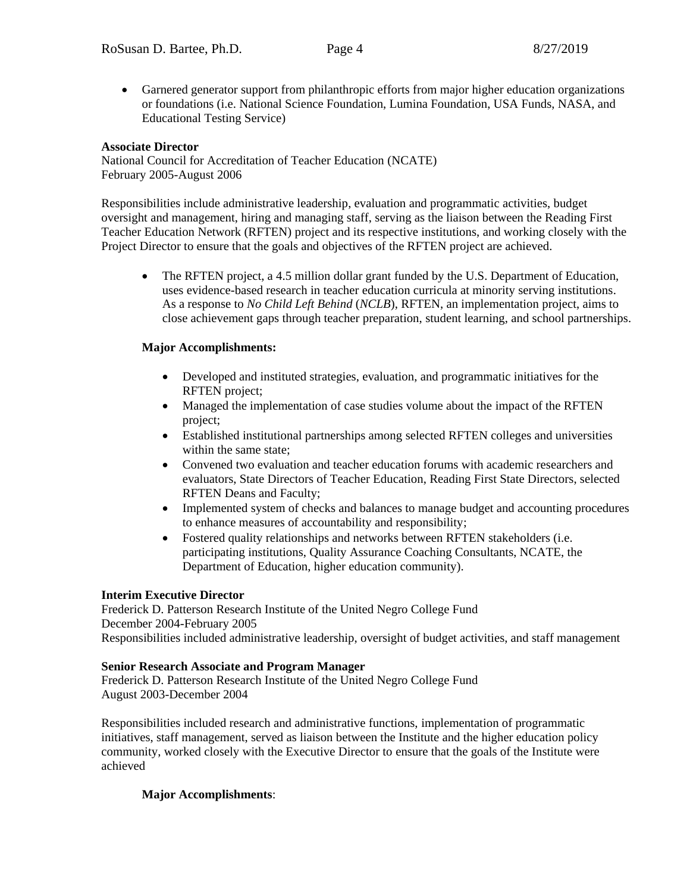Garnered generator support from philanthropic efforts from major higher education organizations or foundations (i.e. National Science Foundation, Lumina Foundation, USA Funds, NASA, and Educational Testing Service)

### **Associate Director**

National Council for Accreditation of Teacher Education (NCATE) February 2005-August 2006

Responsibilities include administrative leadership, evaluation and programmatic activities, budget oversight and management, hiring and managing staff, serving as the liaison between the Reading First Teacher Education Network (RFTEN) project and its respective institutions, and working closely with the Project Director to ensure that the goals and objectives of the RFTEN project are achieved.

 The RFTEN project, a 4.5 million dollar grant funded by the U.S. Department of Education, uses evidence-based research in teacher education curricula at minority serving institutions. As a response to *No Child Left Behind* (*NCLB*), RFTEN, an implementation project, aims to close achievement gaps through teacher preparation, student learning, and school partnerships.

### **Major Accomplishments:**

- Developed and instituted strategies, evaluation, and programmatic initiatives for the RFTEN project;
- Managed the implementation of case studies volume about the impact of the RFTEN project;
- Established institutional partnerships among selected RFTEN colleges and universities within the same state;
- Convened two evaluation and teacher education forums with academic researchers and evaluators, State Directors of Teacher Education, Reading First State Directors, selected RFTEN Deans and Faculty;
- Implemented system of checks and balances to manage budget and accounting procedures to enhance measures of accountability and responsibility;
- Fostered quality relationships and networks between RFTEN stakeholders (i.e. participating institutions, Quality Assurance Coaching Consultants, NCATE, the Department of Education, higher education community).

### **Interim Executive Director**

Frederick D. Patterson Research Institute of the United Negro College Fund December 2004-February 2005 Responsibilities included administrative leadership, oversight of budget activities, and staff management

### **Senior Research Associate and Program Manager**

Frederick D. Patterson Research Institute of the United Negro College Fund August 2003-December 2004

Responsibilities included research and administrative functions, implementation of programmatic initiatives, staff management, served as liaison between the Institute and the higher education policy community, worked closely with the Executive Director to ensure that the goals of the Institute were achieved

# **Major Accomplishments**: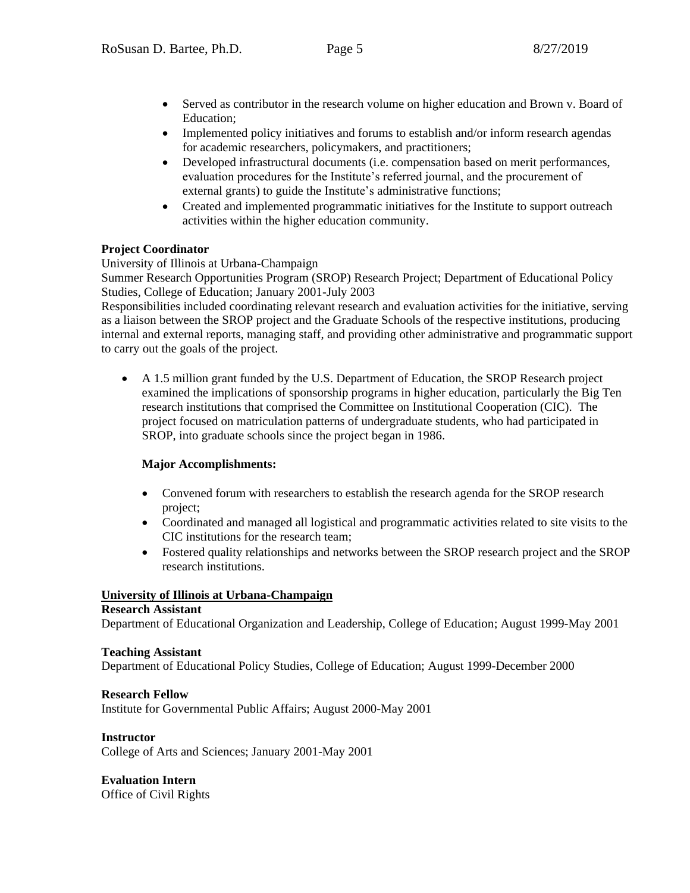- Served as contributor in the research volume on higher education and Brown v. Board of Education;
- Implemented policy initiatives and forums to establish and/or inform research agendas for academic researchers, policymakers, and practitioners;
- Developed infrastructural documents (i.e. compensation based on merit performances, evaluation procedures for the Institute's referred journal, and the procurement of external grants) to guide the Institute's administrative functions;
- Created and implemented programmatic initiatives for the Institute to support outreach activities within the higher education community.

# **Project Coordinator**

University of Illinois at Urbana-Champaign

Summer Research Opportunities Program (SROP) Research Project; Department of Educational Policy Studies, College of Education; January 2001-July 2003

Responsibilities included coordinating relevant research and evaluation activities for the initiative, serving as a liaison between the SROP project and the Graduate Schools of the respective institutions, producing internal and external reports, managing staff, and providing other administrative and programmatic support to carry out the goals of the project.

 A 1.5 million grant funded by the U.S. Department of Education, the SROP Research project examined the implications of sponsorship programs in higher education, particularly the Big Ten research institutions that comprised the Committee on Institutional Cooperation (CIC). The project focused on matriculation patterns of undergraduate students, who had participated in SROP, into graduate schools since the project began in 1986.

### **Major Accomplishments:**

- Convened forum with researchers to establish the research agenda for the SROP research project;
- Coordinated and managed all logistical and programmatic activities related to site visits to the CIC institutions for the research team;
- Fostered quality relationships and networks between the SROP research project and the SROP research institutions.

### **University of Illinois at Urbana-Champaign**

### **Research Assistant**

Department of Educational Organization and Leadership, College of Education; August 1999-May 2001

### **Teaching Assistant**

Department of Educational Policy Studies, College of Education; August 1999-December 2000

### **Research Fellow**

Institute for Governmental Public Affairs; August 2000-May 2001

### **Instructor**

College of Arts and Sciences; January 2001-May 2001

# **Evaluation Intern**

Office of Civil Rights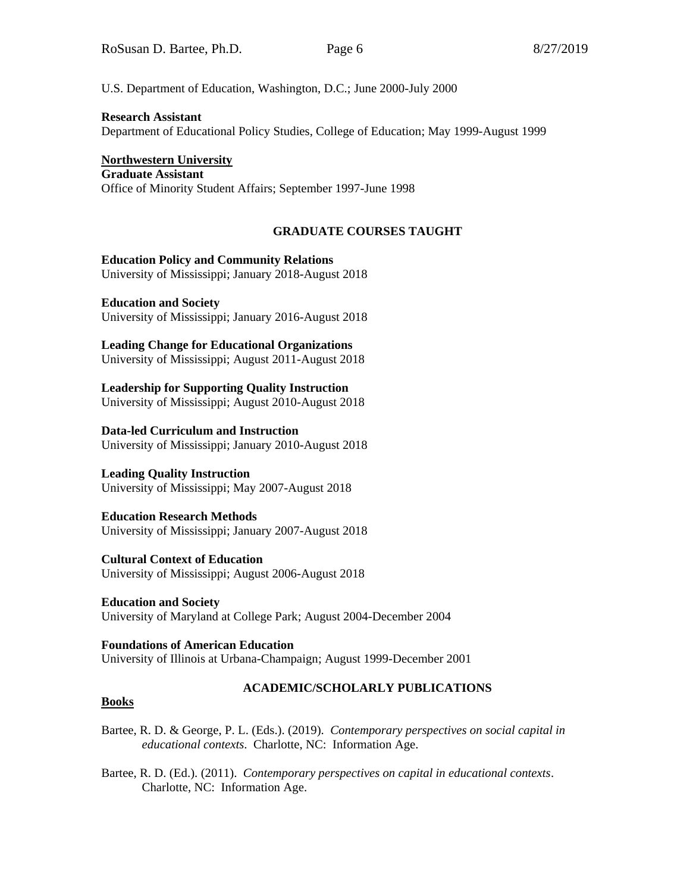U.S. Department of Education, Washington, D.C.; June 2000-July 2000

### **Research Assistant**

Department of Educational Policy Studies, College of Education; May 1999-August 1999

**Northwestern University Graduate Assistant** Office of Minority Student Affairs; September 1997-June 1998

# **GRADUATE COURSES TAUGHT**

### **Education Policy and Community Relations**

University of Mississippi; January 2018-August 2018

**Education and Society** University of Mississippi; January 2016-August 2018

### **Leading Change for Educational Organizations**

University of Mississippi; August 2011-August 2018

# **Leadership for Supporting Quality Instruction**

University of Mississippi; August 2010-August 2018

### **Data-led Curriculum and Instruction**

University of Mississippi; January 2010-August 2018

# **Leading Quality Instruction**

University of Mississippi; May 2007-August 2018

# **Education Research Methods**

University of Mississippi; January 2007-August 2018

# **Cultural Context of Education**

University of Mississippi; August 2006-August 2018

#### **Education and Society** University of Maryland at College Park; August 2004-December 2004

### **Foundations of American Education** University of Illinois at Urbana-Champaign; August 1999-December 2001

# **ACADEMIC/SCHOLARLY PUBLICATIONS**

### **Books**

### Bartee, R. D. & George, P. L. (Eds.). (2019). *Contemporary perspectives on social capital in educational contexts*. Charlotte, NC: Information Age.

Bartee, R. D. (Ed.). (2011). *Contemporary perspectives on capital in educational contexts*. Charlotte, NC: Information Age.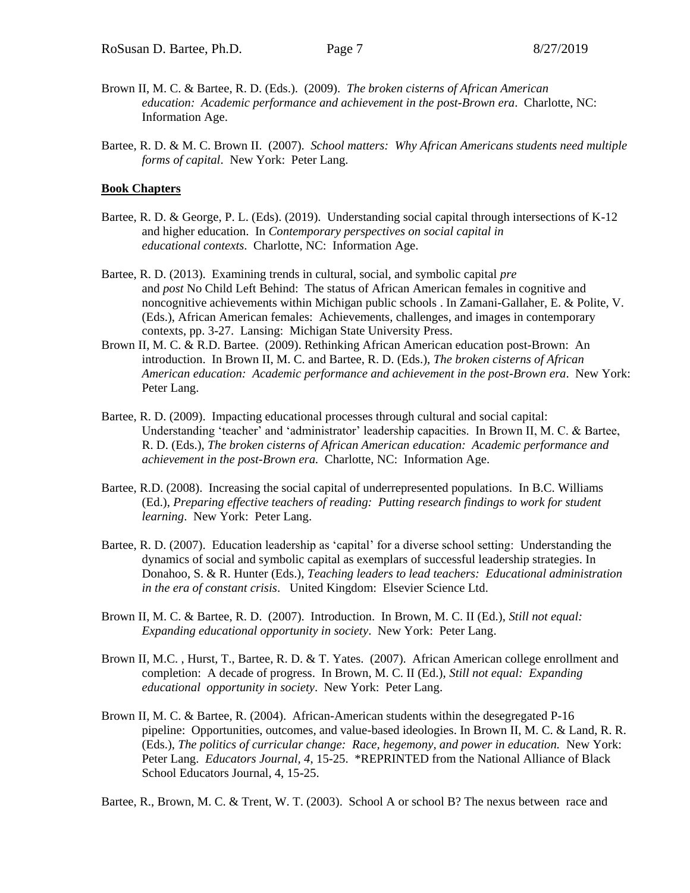- Brown II, M. C. & Bartee, R. D. (Eds.). (2009). *The broken cisterns of African American education: Academic performance and achievement in the post-Brown era*. Charlotte, NC: Information Age.
- Bartee, R. D. & M. C. Brown II. (2007). *School matters: Why African Americans students need multiple forms of capital*. New York: Peter Lang.

#### **Book Chapters**

- Bartee, R. D. & George, P. L. (Eds). (2019). Understanding social capital through intersections of K-12 and higher education. In *Contemporary perspectives on social capital in educational contexts*. Charlotte, NC: Information Age.
- Bartee, R. D. (2013). Examining trends in cultural, social, and symbolic capital *pre* and *post* No Child Left Behind: The status of African American females in cognitive and noncognitive achievements within Michigan public schools . In Zamani-Gallaher, E. & Polite, V. (Eds.), African American females: Achievements, challenges, and images in contemporary contexts, pp. 3-27. Lansing: Michigan State University Press.
- Brown II, M. C. & R.D. Bartee. (2009). Rethinking African American education post-Brown: An introduction. In Brown II, M. C. and Bartee, R. D. (Eds.), *The broken cisterns of African American education: Academic performance and achievement in the post-Brown era*. New York: Peter Lang.
- Bartee, R. D. (2009). Impacting educational processes through cultural and social capital: Understanding 'teacher' and 'administrator' leadership capacities. In Brown II, M. C. & Bartee, R. D. (Eds.), *The broken cisterns of African American education: Academic performance and achievement in the post-Brown era.* Charlotte, NC: Information Age.
- Bartee, R.D. (2008). Increasing the social capital of underrepresented populations. In B.C. Williams (Ed.), *Preparing effective teachers of reading: Putting research findings to work for student learning*. New York: Peter Lang.
- Bartee, R. D. (2007). Education leadership as 'capital' for a diverse school setting: Understanding the dynamics of social and symbolic capital as exemplars of successful leadership strategies. In Donahoo, S. & R. Hunter (Eds.), *Teaching leaders to lead teachers: Educational administration in the era of constant crisis*. United Kingdom: Elsevier Science Ltd.
- Brown II, M. C. & Bartee, R. D. (2007). Introduction. In Brown, M. C. II (Ed.), *Still not equal: Expanding educational opportunity in society*. New York: Peter Lang.
- Brown II, M.C. , Hurst, T., Bartee, R. D. & T. Yates. (2007). African American college enrollment and completion: A decade of progress. In Brown, M. C. II (Ed.), *Still not equal: Expanding educational opportunity in society*. New York: Peter Lang.
- Brown II, M. C. & Bartee, R. (2004). African-American students within the desegregated P-16 pipeline: Opportunities, outcomes, and value-based ideologies. In Brown II, M. C. & Land, R. R. (Eds.), *The politics of curricular change: Race, hegemony, and power in education.* New York: Peter Lang. *Educators Journal, 4*, 15-25. \*REPRINTED from the National Alliance of Black School Educators Journal, 4, 15-25.

Bartee, R., Brown, M. C. & Trent, W. T. (2003). School A or school B? The nexus between race and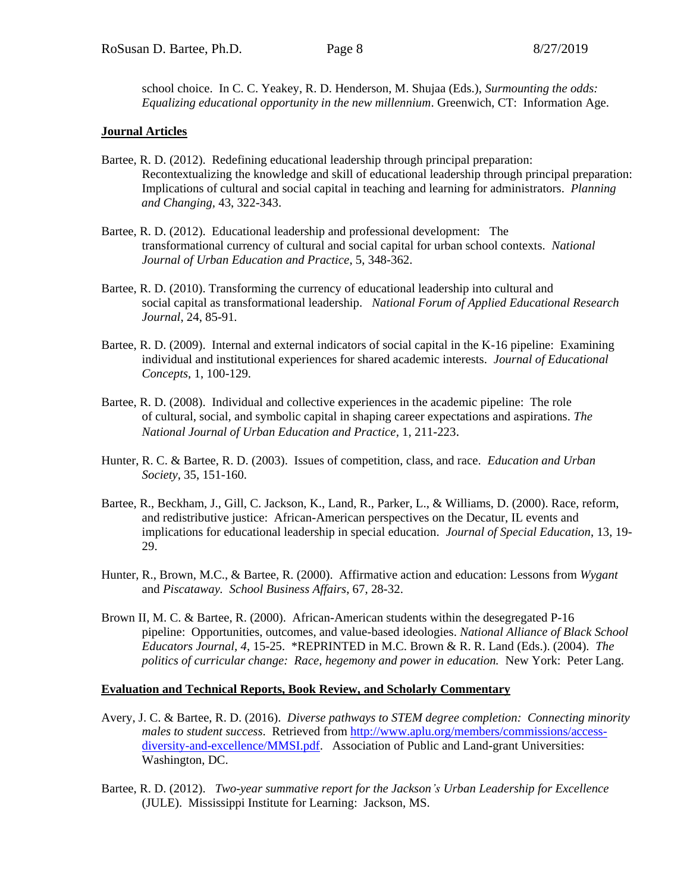school choice. In C. C. Yeakey, R. D. Henderson, M. Shujaa (Eds.), *Surmounting the odds: Equalizing educational opportunity in the new millennium*. Greenwich, CT: Information Age.

#### **Journal Articles**

- Bartee, R. D. (2012). Redefining educational leadership through principal preparation: Recontextualizing the knowledge and skill of educational leadership through principal preparation: Implications of cultural and social capital in teaching and learning for administrators. *Planning and Changing,* 43, 322-343.
- Bartee, R. D. (2012). Educational leadership and professional development: The transformational currency of cultural and social capital for urban school contexts. *National Journal of Urban Education and Practice*, 5, 348-362.
- Bartee, R. D. (2010). Transforming the currency of educational leadership into cultural and social capital as transformational leadership. *National Forum of Applied Educational Research Journal*, 24, 85-91*.*
- Bartee, R. D. (2009). Internal and external indicators of social capital in the K-16 pipeline: Examining individual and institutional experiences for shared academic interests. *Journal of Educational Concepts*, 1, 100-129.
- Bartee, R. D. (2008). Individual and collective experiences in the academic pipeline: The role of cultural, social, and symbolic capital in shaping career expectations and aspirations. *The National Journal of Urban Education and Practice,* 1, 211-223.
- Hunter, R. C. & Bartee, R. D. (2003). Issues of competition, class, and race. *Education and Urban Society*, 35, 151-160.
- Bartee, R., Beckham, J., Gill, C. Jackson, K., Land, R., Parker, L., & Williams, D. (2000). Race, reform, and redistributive justice: African-American perspectives on the Decatur, IL events and implications for educational leadership in special education. *Journal of Special Education*, 13, 19- 29.
- Hunter, R., Brown, M.C., & Bartee, R. (2000). Affirmative action and education: Lessons from *Wygant* and *Piscataway. School Business Affairs*, 67, 28-32.
- Brown II, M. C. & Bartee, R. (2000). African-American students within the desegregated P-16 pipeline: Opportunities, outcomes, and value-based ideologies. *National Alliance of Black School Educators Journal, 4*, 15-25. \*REPRINTED in M.C. Brown & R. R. Land (Eds.). (2004). *The politics of curricular change: Race, hegemony and power in education.* New York: Peter Lang.

#### **Evaluation and Technical Reports, Book Review, and Scholarly Commentary**

- Avery, J. C. & Bartee, R. D. (2016). *Diverse pathways to STEM degree completion: Connecting minority males to student success*. Retrieved from [http://www.aplu.org/members/commissions/access](http://www.aplu.org/members/commissions/access-%09diversity-and-excellence/MMSI.pdf)[diversity-and-excellence/MMSI.pdf.](http://www.aplu.org/members/commissions/access-%09diversity-and-excellence/MMSI.pdf) Association of Public and Land-grant Universities: Washington, DC.
- Bartee, R. D. (2012). *Two-year summative report for the Jackson's Urban Leadership for Excellence* (JULE). Mississippi Institute for Learning: Jackson, MS.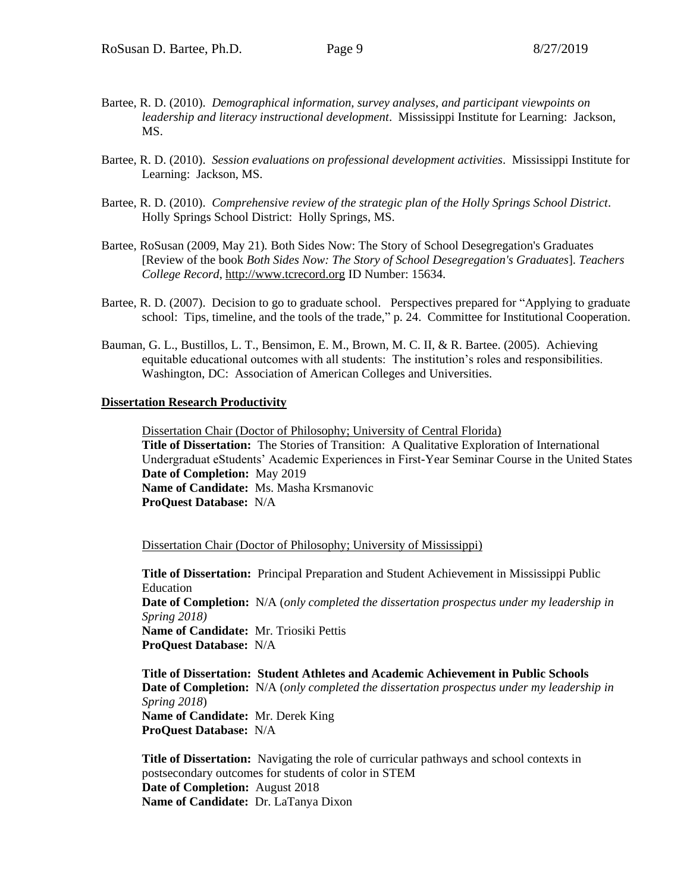- Bartee, R. D. (2010). *Demographical information, survey analyses, and participant viewpoints on leadership and literacy instructional development*. Mississippi Institute for Learning: Jackson, MS.
- Bartee, R. D. (2010). *Session evaluations on professional development activities*. Mississippi Institute for Learning: Jackson, MS.
- Bartee, R. D. (2010). *Comprehensive review of the strategic plan of the Holly Springs School District*. Holly Springs School District: Holly Springs, MS.
- Bartee, RoSusan (2009, May 21)*.* Both Sides Now: The Story of School Desegregation's Graduates [Review of the book *Both Sides Now: The Story of School Desegregation's Graduates*]. *Teachers College Record*, [http://www.tcrecord.org](http://www.tcrecord.org/Home.asp) ID Number: 15634.
- Bartee, R. D. (2007). Decision to go to graduate school. Perspectives prepared for "Applying to graduate school: Tips, timeline, and the tools of the trade," p. 24. Committee for Institutional Cooperation.
- Bauman, G. L., Bustillos, L. T., Bensimon, E. M., Brown, M. C. II, & R. Bartee. (2005). Achieving equitable educational outcomes with all students: The institution's roles and responsibilities. Washington, DC: Association of American Colleges and Universities.

#### **Dissertation Research Productivity**

Dissertation Chair (Doctor of Philosophy; University of Central Florida) **Title of Dissertation:** The Stories of Transition: A Qualitative Exploration of International Undergraduat eStudents' Academic Experiences in First-Year Seminar Course in the United States **Date of Completion:** May 2019 **Name of Candidate:** Ms. Masha Krsmanovic **ProQuest Database:** N/A

#### Dissertation Chair (Doctor of Philosophy; University of Mississippi)

**Title of Dissertation:** Principal Preparation and Student Achievement in Mississippi Public Education **Date of Completion:** N/A (*only completed the dissertation prospectus under my leadership in Spring 2018)* **Name of Candidate:** Mr. Triosiki Pettis **ProQuest Database:** N/A

**Title of Dissertation: Student Athletes and Academic Achievement in Public Schools Date of Completion:** N/A (*only completed the dissertation prospectus under my leadership in Spring 2018*) **Name of Candidate:** Mr. Derek King **ProQuest Database:** N/A

**Title of Dissertation:** Navigating the role of curricular pathways and school contexts in postsecondary outcomes for students of color in STEM **Date of Completion:** August 2018 **Name of Candidate:** Dr. LaTanya Dixon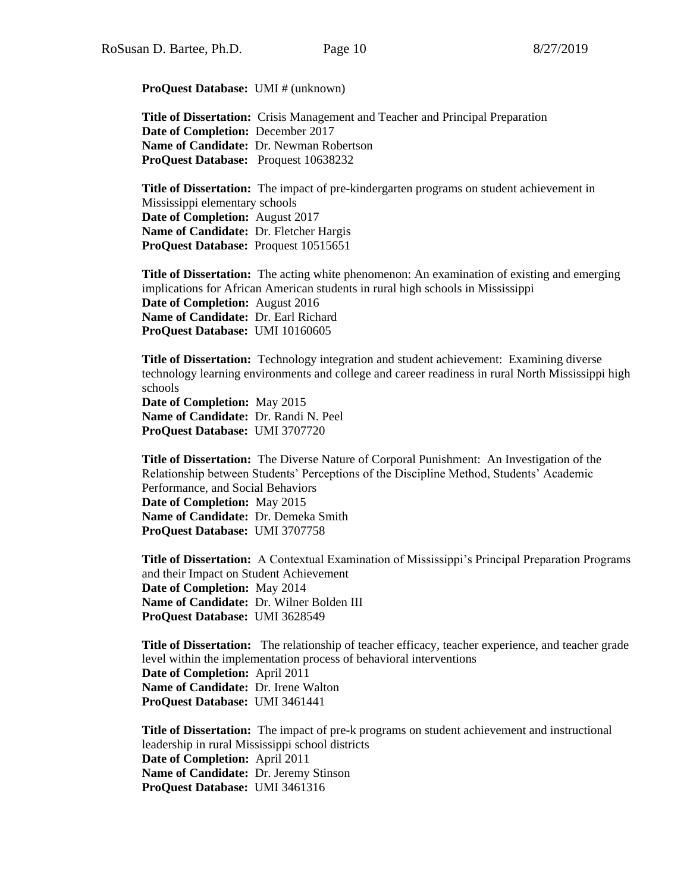**ProQuest Database:** UMI # (unknown)

**Title of Dissertation:** Crisis Management and Teacher and Principal Preparation **Date of Completion:** December 2017 **Name of Candidate:** Dr. Newman Robertson **ProQuest Database:** Proquest 10638232

**Title of Dissertation:** The impact of pre-kindergarten programs on student achievement in Mississippi elementary schools **Date of Completion:** August 2017 **Name of Candidate:** Dr. Fletcher Hargis **ProQuest Database:** Proquest 10515651

**Title of Dissertation:** [The acting white phenomenon: An examination of existing and emerging](http://search.proquest.com.umiss.idm.oclc.org/pqdtlocal1006592/docview/1842253966/2E2864E9F0264F96PQ/1?accountid=14588)  implications for [African American students in rural high schools in Mississippi](http://search.proquest.com.umiss.idm.oclc.org/pqdtlocal1006592/docview/1842253966/2E2864E9F0264F96PQ/1?accountid=14588) **Date of Completion:** August 2016 **Name of Candidate:** Dr. Earl Richard **ProQuest Database:** UMI 10160605

**Title of Dissertation:** Technology integration and student achievement: Examining diverse technology learning environments and college and career readiness in rural North Mississippi high schools

**Date of Completion:** May 2015 **Name of Candidate:** Dr. Randi N. Peel **ProQuest Database:** UMI 3707720

**Title of Dissertation:** The Diverse Nature of Corporal Punishment: An Investigation of the Relationship between Students' Perceptions of the Discipline Method, Students' Academic Performance, and Social Behaviors

**Date of Completion:** May 2015 **Name of Candidate:** Dr. Demeka Smith **ProQuest Database:** UMI 3707758

**Title of Dissertation:** A Contextual Examination of Mississippi's Principal Preparation Programs and their Impact on Student Achievement **Date of Completion:** May 2014 **Name of Candidate:** Dr. Wilner Bolden III **ProQuest Database:** UMI 3628549

**Title of Dissertation:** The relationship of teacher efficacy, teacher experience, and teacher grade level within the implementation process of behavioral interventions **Date of Completion:** April 2011 **Name of Candidate:** Dr. Irene Walton **ProQuest Database:** UMI 3461441

**Title of Dissertation:** The impact of pre-k programs on student achievement and instructional leadership in rural Mississippi school districts **Date of Completion:** April 2011 **Name of Candidate:** Dr. Jeremy Stinson **ProQuest Database:** UMI 3461316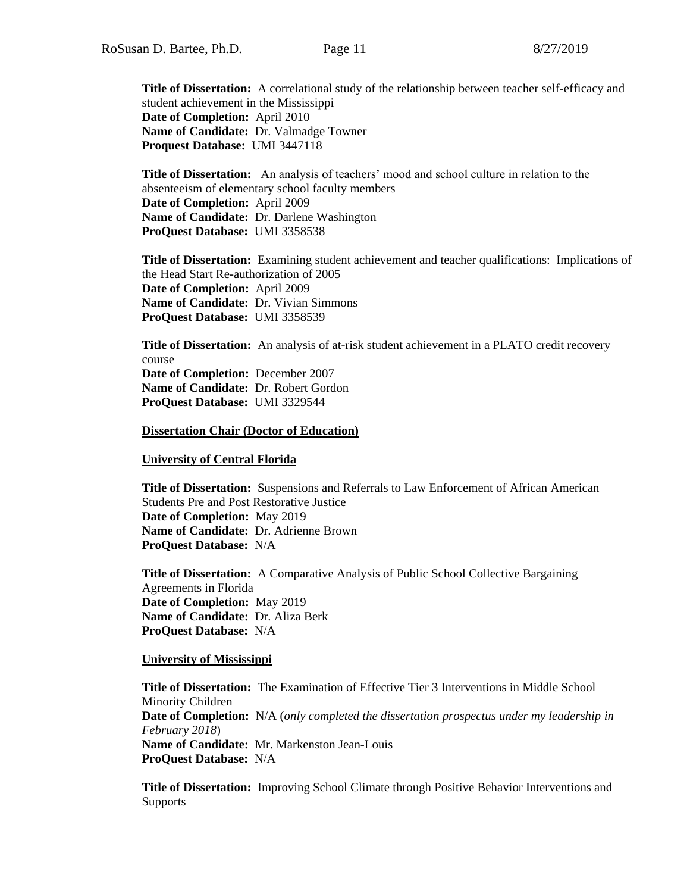**Title of Dissertation:** A correlational study of the relationship between teacher self-efficacy and student achievement in the Mississippi **Date of Completion:** April 2010 **Name of Candidate:** Dr. Valmadge Towner **Proquest Database:** UMI 3447118

**Title of Dissertation:** An analysis of teachers' mood and school culture in relation to the absenteeism of elementary school faculty members **Date of Completion:** April 2009 **Name of Candidate:** Dr. Darlene Washington **ProQuest Database:** UMI 3358538

**Title of Dissertation:** Examining student achievement and teacher qualifications: Implications of the Head Start Re-authorization of 2005 **Date of Completion:** April 2009 **Name of Candidate:** Dr. Vivian Simmons **ProQuest Database:** UMI 3358539

**Title of Dissertation:** An analysis of at-risk student achievement in a PLATO credit recovery course **Date of Completion:** December 2007 **Name of Candidate:** Dr. Robert Gordon **ProQuest Database:** UMI 3329544

**Dissertation Chair (Doctor of Education)**

**University of Central Florida**

**Title of Dissertation:** Suspensions and Referrals to Law Enforcement of African American Students Pre and Post Restorative Justice **Date of Completion:** May 2019 **Name of Candidate:** Dr. Adrienne Brown **ProQuest Database:** N/A

**Title of Dissertation:** A Comparative Analysis of Public School Collective Bargaining Agreements in Florida **Date of Completion:** May 2019 **Name of Candidate:** Dr. Aliza Berk **ProQuest Database:** N/A

#### **University of Mississippi**

**Title of Dissertation:** The Examination of Effective Tier 3 Interventions in Middle School Minority Children **Date of Completion:** N/A (*only completed the dissertation prospectus under my leadership in February 2018*) **Name of Candidate:** Mr. Markenston Jean-Louis **ProQuest Database:** N/A

**Title of Dissertation:** Improving School Climate through Positive Behavior Interventions and **Supports**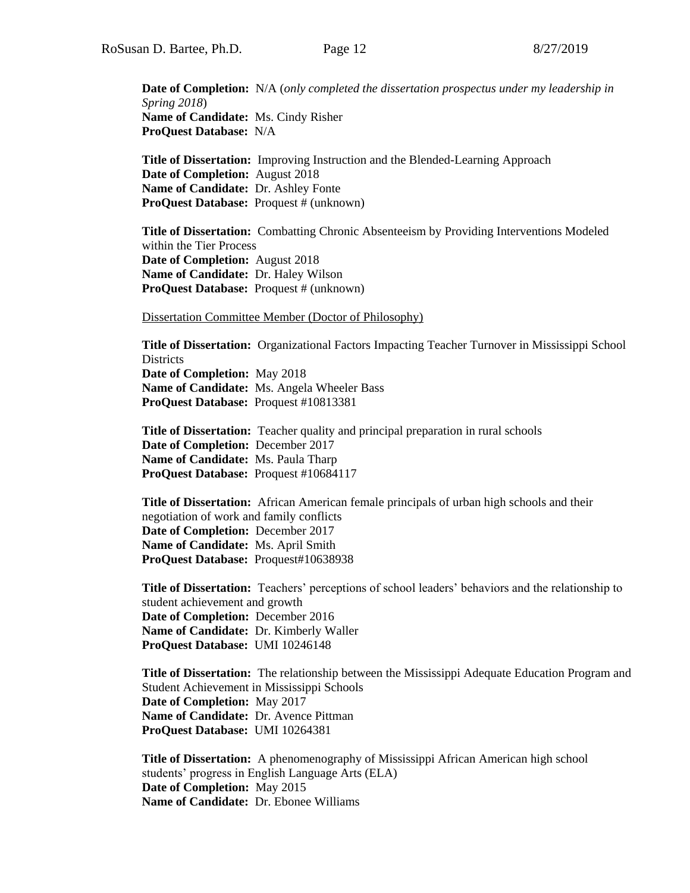**Date of Completion:** N/A (*only completed the dissertation prospectus under my leadership in Spring 2018*) **Name of Candidate:** Ms. Cindy Risher **ProQuest Database:** N/A

**Title of Dissertation:** Improving Instruction and the Blended-Learning Approach **Date of Completion:** August 2018 **Name of Candidate:** Dr. Ashley Fonte **ProQuest Database:** Proquest # (unknown)

**Title of Dissertation:** Combatting Chronic Absenteeism by Providing Interventions Modeled within the Tier Process **Date of Completion:** August 2018 **Name of Candidate:** Dr. Haley Wilson **ProQuest Database:** Proquest # (unknown)

Dissertation Committee Member (Doctor of Philosophy)

**Title of Dissertation:** Organizational Factors Impacting Teacher Turnover in Mississippi School **Districts Date of Completion:** May 2018 **Name of Candidate:** Ms. Angela Wheeler Bass **ProQuest Database:** Proquest #10813381

**Title of Dissertation:** Teacher quality and principal preparation in rural schools **Date of Completion:** December 2017 **Name of Candidate:** Ms. Paula Tharp **ProQuest Database:** Proquest #10684117

**Title of Dissertation:** African American female principals of urban high schools and their negotiation of work and family conflicts **Date of Completion:** December 2017 **Name of Candidate:** Ms. April Smith **ProQuest Database:** Proquest#10638938

**Title of Dissertation:** Teachers' perceptions of school leaders' behaviors and the relationship to student achievement and growth **Date of Completion:** December 2016 **Name of Candidate:** Dr. Kimberly Waller **ProQuest Database:** UMI 10246148

**Title of Dissertation:** The relationship between the Mississippi Adequate Education Program and Student Achievement in Mississippi Schools **Date of Completion:** May 2017 **Name of Candidate:** Dr. Avence Pittman **ProQuest Database:** UMI 10264381

**Title of Dissertation:** A phenomenography of Mississippi African American high school students' progress in English Language Arts (ELA) **Date of Completion:** May 2015 **Name of Candidate:** Dr. Ebonee Williams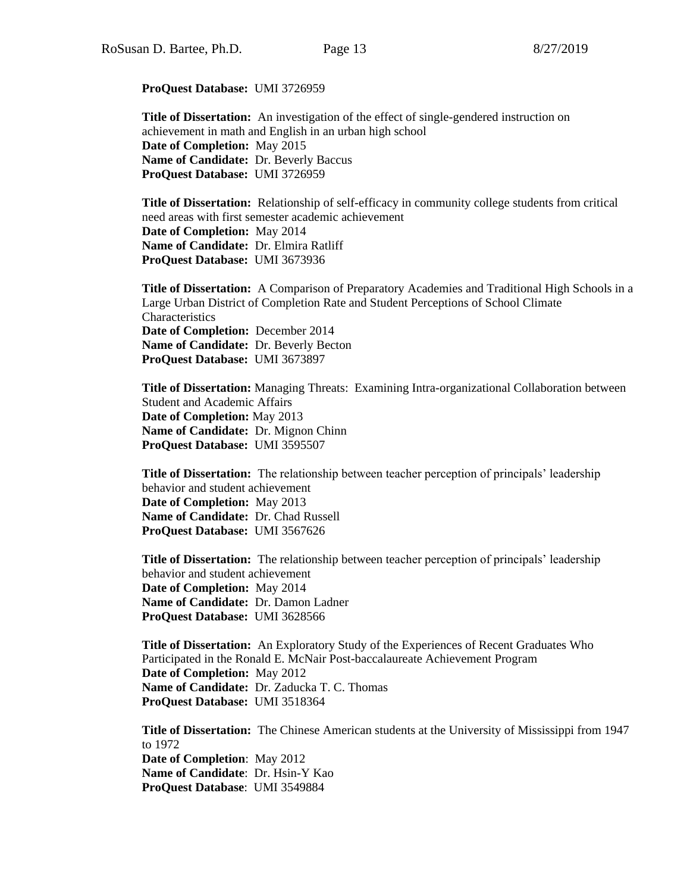**ProQuest Database:** UMI 3726959

**Title of Dissertation:** An investigation of the effect of single-gendered instruction on achievement in math and English in an urban high school **Date of Completion:** May 2015 **Name of Candidate:** Dr. Beverly Baccus **ProQuest Database:** UMI 3726959

**Title of Dissertation:** Relationship of self-efficacy in community college students from critical need areas with first semester academic achievement **Date of Completion:** May 2014 **Name of Candidate:** Dr. Elmira Ratliff **ProQuest Database:** UMI 3673936

**Title of Dissertation:** A Comparison of Preparatory Academies and Traditional High Schools in a Large Urban District of Completion Rate and Student Perceptions of School Climate Characteristics **Date of Completion:** December 2014 **Name of Candidate:** Dr. Beverly Becton **ProQuest Database:** UMI 3673897

**Title of Dissertation:** Managing Threats: Examining Intra-organizational Collaboration between Student and Academic Affairs **Date of Completion:** May 2013 **Name of Candidate:** Dr. Mignon Chinn **ProQuest Database:** UMI 3595507

**Title of Dissertation:** The relationship between teacher perception of principals' leadership behavior and student achievement **Date of Completion:** May 2013 **Name of Candidate:** Dr. Chad Russell **ProQuest Database:** UMI 3567626

**Title of Dissertation:** The relationship between teacher perception of principals' leadership behavior and student achievement **Date of Completion:** May 2014 **Name of Candidate:** Dr. Damon Ladner **ProQuest Database:** UMI 3628566

**Title of Dissertation:** An Exploratory Study of the Experiences of Recent Graduates Who Participated in the Ronald E. McNair Post-baccalaureate Achievement Program **Date of Completion:** May 2012 **Name of Candidate:** Dr. Zaducka T. C. Thomas **ProQuest Database:** UMI 3518364

**Title of Dissertation:** The Chinese American students at the University of Mississippi from 1947 to 1972 **Date of Completion**: May 2012 **Name of Candidate**: Dr. Hsin-Y Kao **ProQuest Database**: UMI 3549884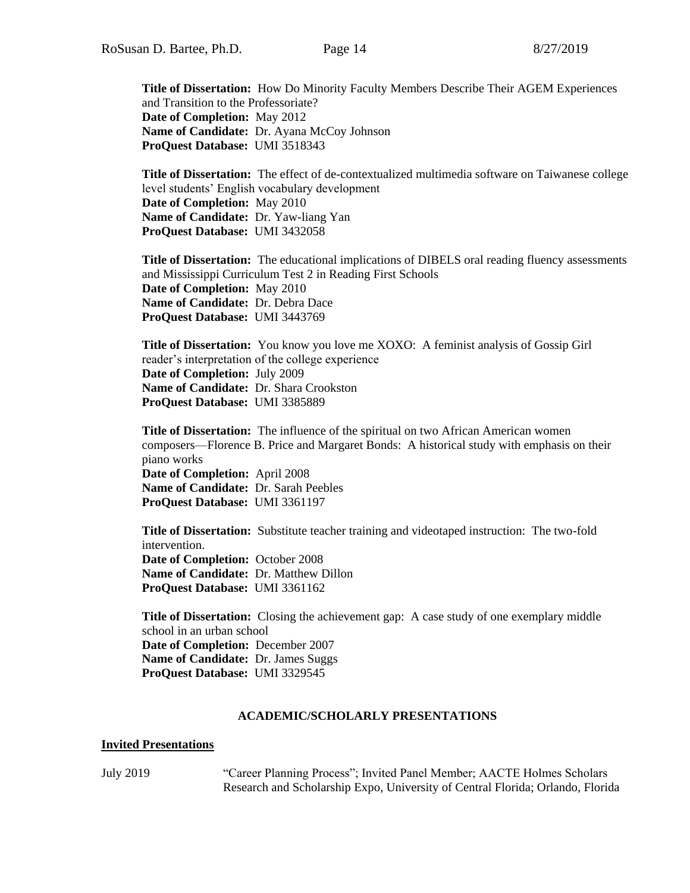**Title of Dissertation:** How Do Minority Faculty Members Describe Their AGEM Experiences and Transition to the Professoriate? **Date of Completion:** May 2012 Name of Candidate: Dr. Ayana McCoy Johnson **ProQuest Database:** UMI 3518343

**Title of Dissertation:** The effect of de-contextualized multimedia software on Taiwanese college level students' English vocabulary development **Date of Completion:** May 2010 **Name of Candidate:** Dr. Yaw-liang Yan **ProQuest Database:** UMI 3432058

**Title of Dissertation:** The educational implications of DIBELS oral reading fluency assessments and Mississippi Curriculum Test 2 in Reading First Schools **Date of Completion:** May 2010 **Name of Candidate:** Dr. Debra Dace **ProQuest Database:** UMI 3443769

**Title of Dissertation:** You know you love me XOXO: A feminist analysis of Gossip Girl reader's interpretation of the college experience **Date of Completion:** July 2009 **Name of Candidate:** Dr. Shara Crookston **ProQuest Database:** UMI 3385889

**Title of Dissertation:** The influence of the spiritual on two African American women composers—Florence B. Price and Margaret Bonds: A historical study with emphasis on their piano works **Date of Completion:** April 2008 **Name of Candidate:** Dr. Sarah Peebles **ProQuest Database:** UMI 3361197

**Title of Dissertation:** Substitute teacher training and videotaped instruction: The two-fold intervention. **Date of Completion:** October 2008 **Name of Candidate:** Dr. Matthew Dillon **ProQuest Database:** UMI 3361162

**Title of Dissertation:** Closing the achievement gap: A case study of one exemplary middle school in an urban school **Date of Completion:** December 2007 **Name of Candidate:** Dr. James Suggs **ProQuest Database:** UMI 3329545

### **ACADEMIC/SCHOLARLY PRESENTATIONS**

### **Invited Presentations**

July 2019 "Career Planning Process"; Invited Panel Member; AACTE Holmes Scholars Research and Scholarship Expo, University of Central Florida; Orlando, Florida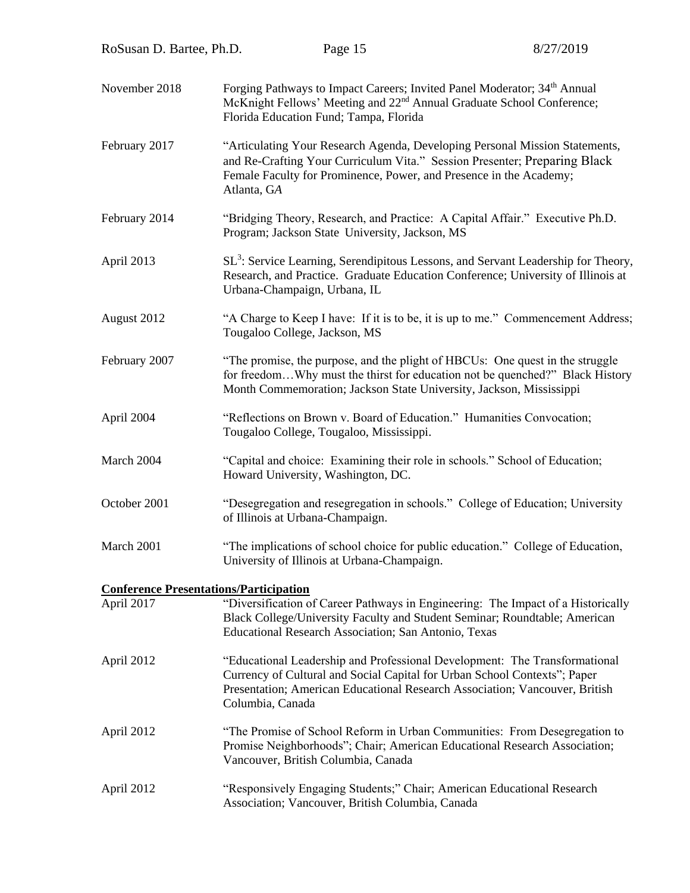| RoSusan D. Bartee, Ph.D.                      |             | Page 15                                                                                                                                                                                                                                                    | 8/27/2019                                                                                                                                                                         |
|-----------------------------------------------|-------------|------------------------------------------------------------------------------------------------------------------------------------------------------------------------------------------------------------------------------------------------------------|-----------------------------------------------------------------------------------------------------------------------------------------------------------------------------------|
| November 2018                                 |             | Forging Pathways to Impact Careers; Invited Panel Moderator; 34 <sup>th</sup> Annual<br>McKnight Fellows' Meeting and 22 <sup>nd</sup> Annual Graduate School Conference;<br>Florida Education Fund; Tampa, Florida                                        |                                                                                                                                                                                   |
| February 2017                                 | Atlanta, GA | "Articulating Your Research Agenda, Developing Personal Mission Statements,<br>and Re-Crafting Your Curriculum Vita." Session Presenter; Preparing Black<br>Female Faculty for Prominence, Power, and Presence in the Academy;                             |                                                                                                                                                                                   |
| February 2014                                 |             | "Bridging Theory, Research, and Practice: A Capital Affair." Executive Ph.D.<br>Program; Jackson State University, Jackson, MS                                                                                                                             |                                                                                                                                                                                   |
| April 2013                                    |             | Urbana-Champaign, Urbana, IL                                                                                                                                                                                                                               | SL <sup>3</sup> : Service Learning, Serendipitous Lessons, and Servant Leadership for Theory,<br>Research, and Practice. Graduate Education Conference; University of Illinois at |
| August 2012                                   |             | Tougaloo College, Jackson, MS                                                                                                                                                                                                                              | "A Charge to Keep I have: If it is to be, it is up to me." Commencement Address;                                                                                                  |
| February 2007                                 |             | "The promise, the purpose, and the plight of HBCUs: One quest in the struggle<br>Month Commemoration; Jackson State University, Jackson, Mississippi                                                                                                       | for freedomWhy must the thirst for education not be quenched?" Black History                                                                                                      |
| April 2004                                    |             | "Reflections on Brown v. Board of Education." Humanities Convocation;<br>Tougaloo College, Tougaloo, Mississippi.                                                                                                                                          |                                                                                                                                                                                   |
| March 2004                                    |             | "Capital and choice: Examining their role in schools." School of Education;<br>Howard University, Washington, DC.                                                                                                                                          |                                                                                                                                                                                   |
| October 2001                                  |             | of Illinois at Urbana-Champaign.                                                                                                                                                                                                                           | "Desegregation and resegregation in schools." College of Education; University                                                                                                    |
| March 2001                                    |             | "The implications of school choice for public education." College of Education,<br>University of Illinois at Urbana-Champaign.                                                                                                                             |                                                                                                                                                                                   |
| <b>Conference Presentations/Participation</b> |             |                                                                                                                                                                                                                                                            |                                                                                                                                                                                   |
| April 2017                                    |             | Black College/University Faculty and Student Seminar; Roundtable; American<br>Educational Research Association; San Antonio, Texas                                                                                                                         | "Diversification of Career Pathways in Engineering: The Impact of a Historically                                                                                                  |
| April 2012                                    |             | "Educational Leadership and Professional Development: The Transformational<br>Currency of Cultural and Social Capital for Urban School Contexts"; Paper<br>Presentation; American Educational Research Association; Vancouver, British<br>Columbia, Canada |                                                                                                                                                                                   |
| April 2012                                    |             | Promise Neighborhoods"; Chair; American Educational Research Association;<br>Vancouver, British Columbia, Canada                                                                                                                                           | "The Promise of School Reform in Urban Communities: From Desegregation to                                                                                                         |
| April 2012                                    |             | "Responsively Engaging Students;" Chair; American Educational Research<br>Association; Vancouver, British Columbia, Canada                                                                                                                                 |                                                                                                                                                                                   |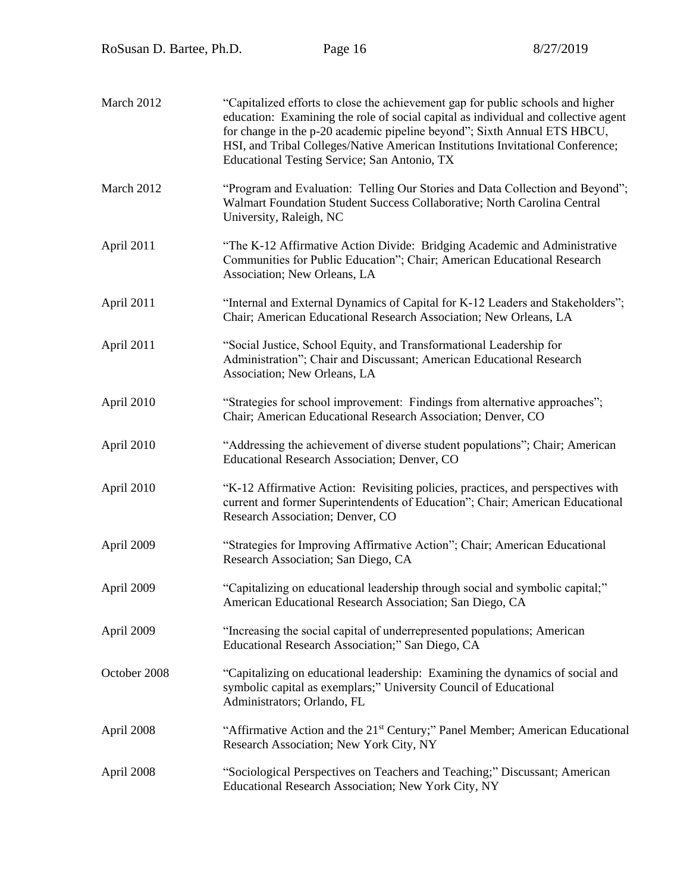| RoSusan D. Bartee, Ph.D. |                              | Page 16                                                                                             | 8/27/2019                                                                                                                                                                                                                                                                                                                           |
|--------------------------|------------------------------|-----------------------------------------------------------------------------------------------------|-------------------------------------------------------------------------------------------------------------------------------------------------------------------------------------------------------------------------------------------------------------------------------------------------------------------------------------|
|                          |                              |                                                                                                     |                                                                                                                                                                                                                                                                                                                                     |
| March 2012               |                              | Educational Testing Service; San Antonio, TX                                                        | "Capitalized efforts to close the achievement gap for public schools and higher<br>education: Examining the role of social capital as individual and collective agent<br>for change in the p-20 academic pipeline beyond"; Sixth Annual ETS HBCU,<br>HSI, and Tribal Colleges/Native American Institutions Invitational Conference; |
| March 2012               | University, Raleigh, NC      |                                                                                                     | "Program and Evaluation: Telling Our Stories and Data Collection and Beyond";<br>Walmart Foundation Student Success Collaborative; North Carolina Central                                                                                                                                                                           |
| April 2011               | Association; New Orleans, LA |                                                                                                     | "The K-12 Affirmative Action Divide: Bridging Academic and Administrative<br>Communities for Public Education"; Chair; American Educational Research                                                                                                                                                                                |
| April 2011               |                              | Chair; American Educational Research Association; New Orleans, LA                                   | "Internal and External Dynamics of Capital for K-12 Leaders and Stakeholders";                                                                                                                                                                                                                                                      |
| April 2011               |                              | "Social Justice, School Equity, and Transformational Leadership for<br>Association; New Orleans, LA | Administration"; Chair and Discussant; American Educational Research                                                                                                                                                                                                                                                                |
| April 2010               |                              | Chair; American Educational Research Association; Denver, CO                                        | "Strategies for school improvement: Findings from alternative approaches";                                                                                                                                                                                                                                                          |
| April 2010               |                              | Educational Research Association; Denver, CO                                                        | "Addressing the achievement of diverse student populations"; Chair; American                                                                                                                                                                                                                                                        |
| April 2010               |                              | Research Association; Denver, CO                                                                    | "K-12 Affirmative Action: Revisiting policies, practices, and perspectives with<br>current and former Superintendents of Education"; Chair; American Educational                                                                                                                                                                    |
| April 2009               |                              | Research Association; San Diego, CA                                                                 | "Strategies for Improving Affirmative Action"; Chair; American Educational                                                                                                                                                                                                                                                          |
| April 2009               |                              | American Educational Research Association; San Diego, CA                                            | "Capitalizing on educational leadership through social and symbolic capital;"                                                                                                                                                                                                                                                       |
| April 2009               |                              | Educational Research Association;" San Diego, CA                                                    | "Increasing the social capital of underrepresented populations; American                                                                                                                                                                                                                                                            |
| October 2008             | Administrators; Orlando, FL  | symbolic capital as exemplars;" University Council of Educational                                   | "Capitalizing on educational leadership: Examining the dynamics of social and                                                                                                                                                                                                                                                       |
| April 2008               |                              | Research Association; New York City, NY                                                             | "Affirmative Action and the 21 <sup>st</sup> Century;" Panel Member; American Educational                                                                                                                                                                                                                                           |
| April 2008               |                              | Educational Research Association; New York City, NY                                                 | "Sociological Perspectives on Teachers and Teaching;" Discussant; American                                                                                                                                                                                                                                                          |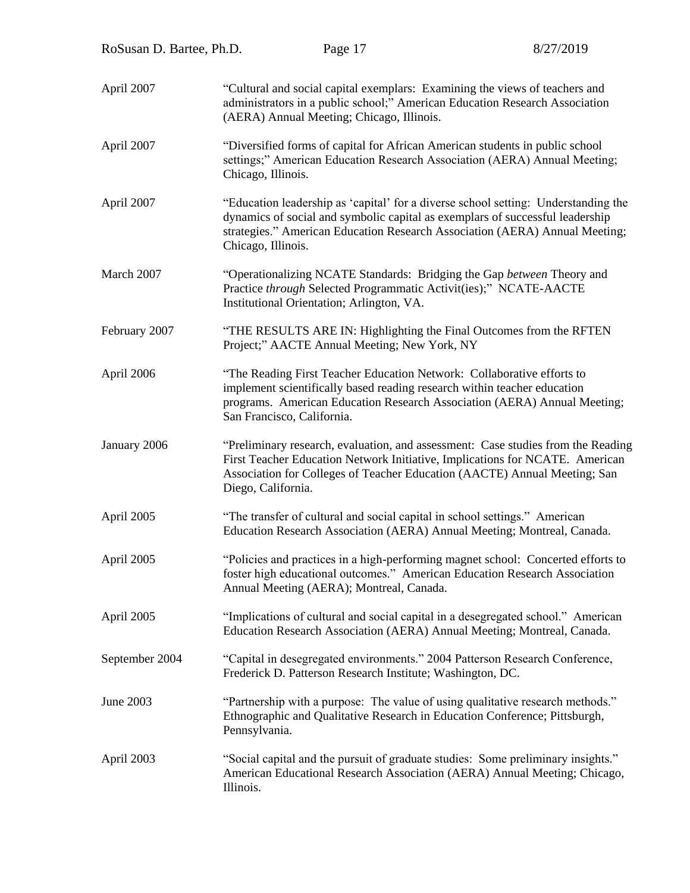| RoSusan D. Bartee, Ph.D. | Page 17                                                                                                                                                                                                                                                                  | 8/27/2019 |
|--------------------------|--------------------------------------------------------------------------------------------------------------------------------------------------------------------------------------------------------------------------------------------------------------------------|-----------|
| April 2007               | "Cultural and social capital exemplars: Examining the views of teachers and<br>administrators in a public school;" American Education Research Association<br>(AERA) Annual Meeting; Chicago, Illinois.                                                                  |           |
| April 2007               | "Diversified forms of capital for African American students in public school<br>settings;" American Education Research Association (AERA) Annual Meeting;<br>Chicago, Illinois.                                                                                          |           |
| April 2007               | "Education leadership as 'capital' for a diverse school setting: Understanding the<br>dynamics of social and symbolic capital as exemplars of successful leadership<br>strategies." American Education Research Association (AERA) Annual Meeting;<br>Chicago, Illinois. |           |
| March 2007               | "Operationalizing NCATE Standards: Bridging the Gap between Theory and<br>Practice through Selected Programmatic Activit(ies);" NCATE-AACTE<br>Institutional Orientation; Arlington, VA.                                                                                 |           |
| February 2007            | "THE RESULTS ARE IN: Highlighting the Final Outcomes from the RFTEN<br>Project;" AACTE Annual Meeting; New York, NY                                                                                                                                                      |           |
| April 2006               | "The Reading First Teacher Education Network: Collaborative efforts to<br>implement scientifically based reading research within teacher education<br>programs. American Education Research Association (AERA) Annual Meeting;<br>San Francisco, California.             |           |
| January 2006             | "Preliminary research, evaluation, and assessment: Case studies from the Reading<br>First Teacher Education Network Initiative, Implications for NCATE. American<br>Association for Colleges of Teacher Education (AACTE) Annual Meeting; San<br>Diego, California.      |           |
| April 2005               | "The transfer of cultural and social capital in school settings." American<br>Education Research Association (AERA) Annual Meeting; Montreal, Canada.                                                                                                                    |           |
| April 2005               | "Policies and practices in a high-performing magnet school: Concerted efforts to<br>foster high educational outcomes." American Education Research Association<br>Annual Meeting (AERA); Montreal, Canada.                                                               |           |
| April 2005               | "Implications of cultural and social capital in a desegregated school." American<br>Education Research Association (AERA) Annual Meeting; Montreal, Canada.                                                                                                              |           |
| September 2004           | "Capital in desegregated environments." 2004 Patterson Research Conference,<br>Frederick D. Patterson Research Institute; Washington, DC.                                                                                                                                |           |
| June 2003                | "Partnership with a purpose: The value of using qualitative research methods."<br>Ethnographic and Qualitative Research in Education Conference; Pittsburgh,<br>Pennsylvania.                                                                                            |           |
| April 2003               | "Social capital and the pursuit of graduate studies: Some preliminary insights."<br>American Educational Research Association (AERA) Annual Meeting; Chicago,<br>Illinois.                                                                                               |           |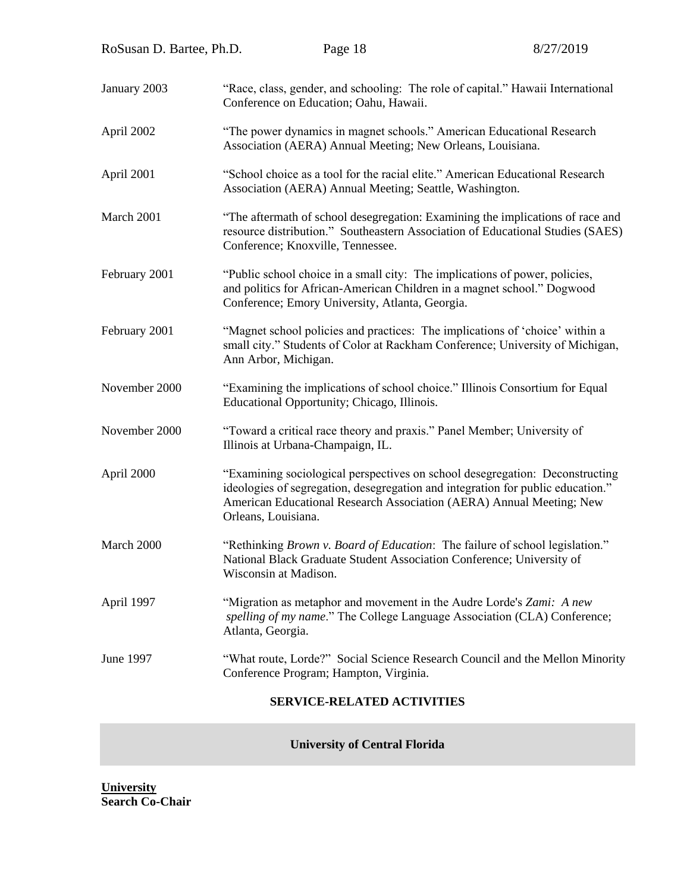| RoSusan D. Bartee, Ph.D.          |                       | Page 18                                                                                                                                                                                                   | 8/27/2019                                                                                                                                                        |
|-----------------------------------|-----------------------|-----------------------------------------------------------------------------------------------------------------------------------------------------------------------------------------------------------|------------------------------------------------------------------------------------------------------------------------------------------------------------------|
| January 2003                      |                       | Conference on Education; Oahu, Hawaii.                                                                                                                                                                    | "Race, class, gender, and schooling: The role of capital." Hawaii International                                                                                  |
| April 2002                        |                       | "The power dynamics in magnet schools." American Educational Research<br>Association (AERA) Annual Meeting; New Orleans, Louisiana.                                                                       |                                                                                                                                                                  |
| April 2001                        |                       | "School choice as a tool for the racial elite." American Educational Research<br>Association (AERA) Annual Meeting; Seattle, Washington.                                                                  |                                                                                                                                                                  |
| March 2001                        |                       | Conference; Knoxville, Tennessee.                                                                                                                                                                         | "The aftermath of school desegregation: Examining the implications of race and<br>resource distribution." Southeastern Association of Educational Studies (SAES) |
| February 2001                     |                       | "Public school choice in a small city: The implications of power, policies,<br>and politics for African-American Children in a magnet school." Dogwood<br>Conference; Emory University, Atlanta, Georgia. |                                                                                                                                                                  |
| February 2001                     | Ann Arbor, Michigan.  | "Magnet school policies and practices: The implications of 'choice' within a                                                                                                                              | small city." Students of Color at Rackham Conference; University of Michigan,                                                                                    |
| November 2000                     |                       | Educational Opportunity; Chicago, Illinois.                                                                                                                                                               | "Examining the implications of school choice." Illinois Consortium for Equal                                                                                     |
| November 2000                     |                       | "Toward a critical race theory and praxis." Panel Member; University of<br>Illinois at Urbana-Champaign, IL.                                                                                              |                                                                                                                                                                  |
| April 2000                        | Orleans, Louisiana.   | American Educational Research Association (AERA) Annual Meeting; New                                                                                                                                      | "Examining sociological perspectives on school desegregation: Deconstructing<br>ideologies of segregation, desegregation and integration for public education."  |
| March 2000                        | Wisconsin at Madison. | National Black Graduate Student Association Conference; University of                                                                                                                                     | "Rethinking <i>Brown v. Board of Education</i> : The failure of school legislation."                                                                             |
| April 1997                        | Atlanta, Georgia.     | "Migration as metaphor and movement in the Audre Lorde's Zami: A new                                                                                                                                      | spelling of my name." The College Language Association (CLA) Conference;                                                                                         |
| <b>June 1997</b>                  |                       | Conference Program; Hampton, Virginia.                                                                                                                                                                    | "What route, Lorde?" Social Science Research Council and the Mellon Minority                                                                                     |
| <b>SERVICE-RELATED ACTIVITIES</b> |                       |                                                                                                                                                                                                           |                                                                                                                                                                  |

**University of Central Florida**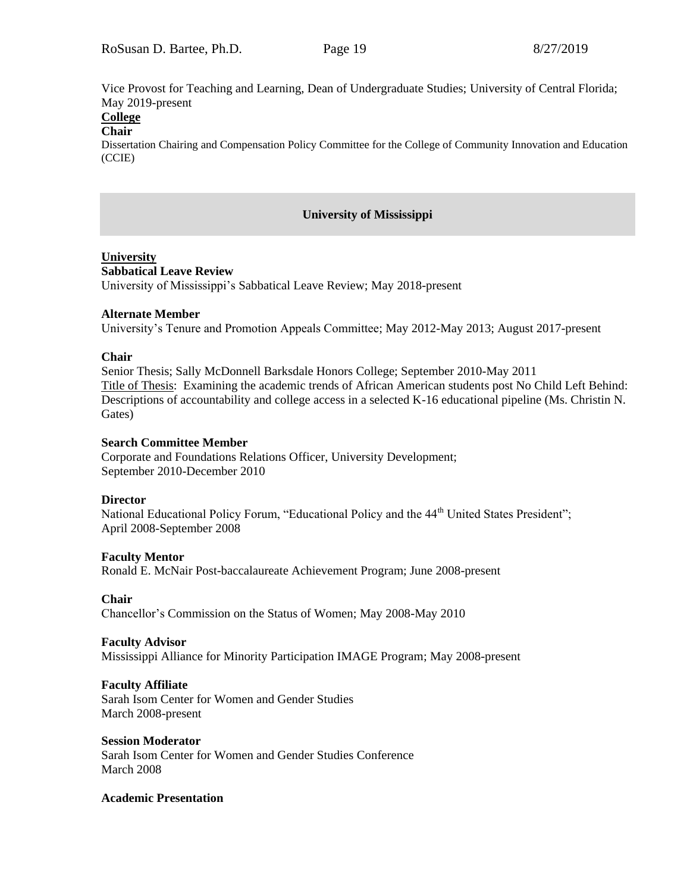Vice Provost for Teaching and Learning, Dean of Undergraduate Studies; University of Central Florida; May 2019-present

# **College**

# **Chair**

Dissertation Chairing and Compensation Policy Committee for the College of Community Innovation and Education (CCIE)

### **University of Mississippi**

# **University**

#### **Sabbatical Leave Review**

University of Mississippi's Sabbatical Leave Review; May 2018-present

### **Alternate Member**

University's Tenure and Promotion Appeals Committee; May 2012-May 2013; August 2017-present

### **Chair**

Senior Thesis; Sally McDonnell Barksdale Honors College; September 2010-May 2011 Title of Thesis: Examining the academic trends of African American students post No Child Left Behind: Descriptions of accountability and college access in a selected K-16 educational pipeline (Ms. Christin N. Gates)

### **Search Committee Member**

Corporate and Foundations Relations Officer, University Development; September 2010-December 2010

### **Director**

National Educational Policy Forum, "Educational Policy and the 44<sup>th</sup> United States President"; April 2008-September 2008

### **Faculty Mentor**

Ronald E. McNair Post-baccalaureate Achievement Program; June 2008-present

### **Chair**

Chancellor's Commission on the Status of Women; May 2008-May 2010

#### **Faculty Advisor**

Mississippi Alliance for Minority Participation IMAGE Program; May 2008-present

### **Faculty Affiliate**

Sarah Isom Center for Women and Gender Studies March 2008-present

#### **Session Moderator**

Sarah Isom Center for Women and Gender Studies Conference March 2008

#### **Academic Presentation**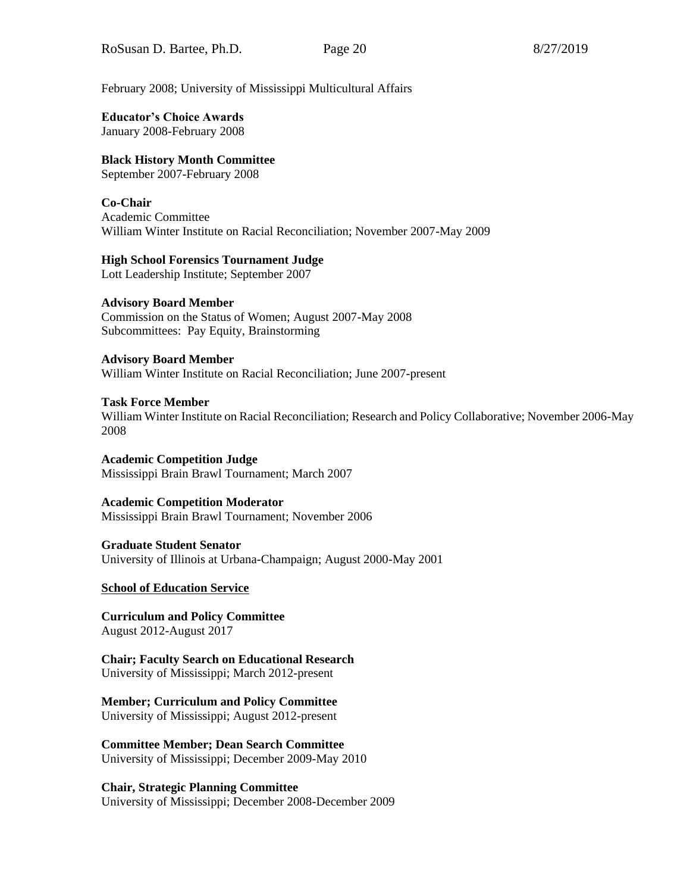February 2008; University of Mississippi Multicultural Affairs

# **Educator's Choice Awards**

January 2008-February 2008

# **Black History Month Committee**

September 2007-February 2008

# **Co-Chair**

Academic Committee William Winter Institute on Racial Reconciliation; November 2007-May 2009

# **High School Forensics Tournament Judge**

Lott Leadership Institute; September 2007

# **Advisory Board Member**

Commission on the Status of Women; August 2007-May 2008 Subcommittees: Pay Equity, Brainstorming

# **Advisory Board Member**

William Winter Institute on Racial Reconciliation; June 2007-present

# **Task Force Member**

William Winter Institute on Racial Reconciliation; Research and Policy Collaborative; November 2006-May 2008

# **Academic Competition Judge**

Mississippi Brain Brawl Tournament; March 2007

### **Academic Competition Moderator**

Mississippi Brain Brawl Tournament; November 2006

### **Graduate Student Senator**

University of Illinois at Urbana-Champaign; August 2000-May 2001

# **School of Education Service**

**Curriculum and Policy Committee** August 2012-August 2017

#### **Chair; Faculty Search on Educational Research** University of Mississippi; March 2012-present

# **Member; Curriculum and Policy Committee**

University of Mississippi; August 2012-present

### **Committee Member; Dean Search Committee** University of Mississippi; December 2009-May 2010

**Chair, Strategic Planning Committee** University of Mississippi; December 2008-December 2009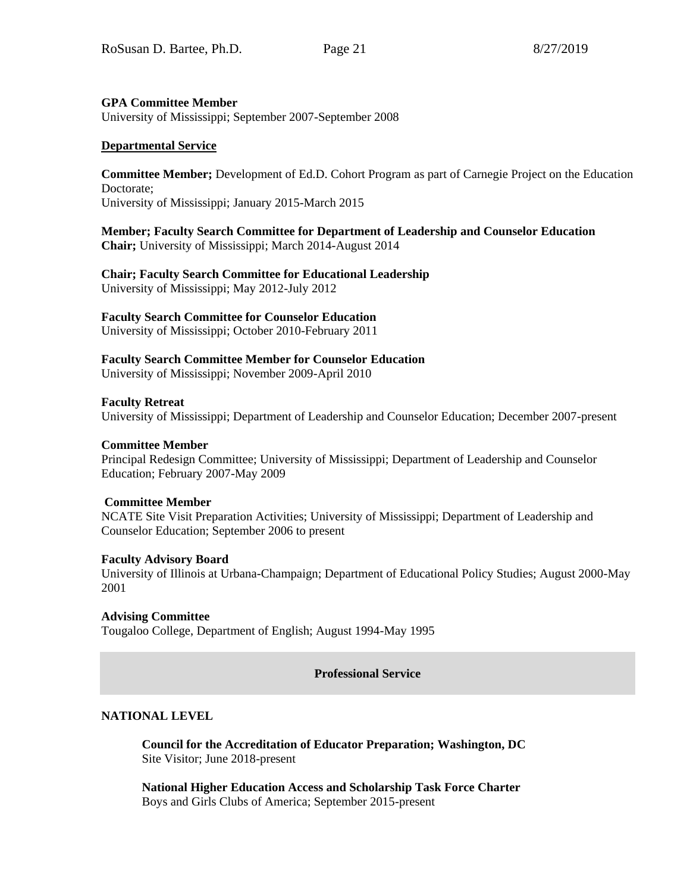### **GPA Committee Member**

University of Mississippi; September 2007-September 2008

### **Departmental Service**

**Committee Member;** Development of Ed.D. Cohort Program as part of Carnegie Project on the Education Doctorate; University of Mississippi; January 2015-March 2015

**Member; Faculty Search Committee for Department of Leadership and Counselor Education Chair;** University of Mississippi; March 2014-August 2014

# **Chair; Faculty Search Committee for Educational Leadership**

University of Mississippi; May 2012-July 2012

# **Faculty Search Committee for Counselor Education**

University of Mississippi; October 2010-February 2011

# **Faculty Search Committee Member for Counselor Education**

University of Mississippi; November 2009-April 2010

### **Faculty Retreat**

University of Mississippi; Department of Leadership and Counselor Education; December 2007-present

### **Committee Member**

Principal Redesign Committee; University of Mississippi; Department of Leadership and Counselor Education; February 2007-May 2009

### **Committee Member**

NCATE Site Visit Preparation Activities; University of Mississippi; Department of Leadership and Counselor Education; September 2006 to present

### **Faculty Advisory Board**

University of Illinois at Urbana-Champaign; Department of Educational Policy Studies; August 2000-May 2001

### **Advising Committee**

Tougaloo College, Department of English; August 1994-May 1995

**Professional Service**

# **NATIONAL LEVEL**

**Council for the Accreditation of Educator Preparation; Washington, DC** Site Visitor; June 2018-present

**National Higher Education Access and Scholarship Task Force Charter** Boys and Girls Clubs of America; September 2015-present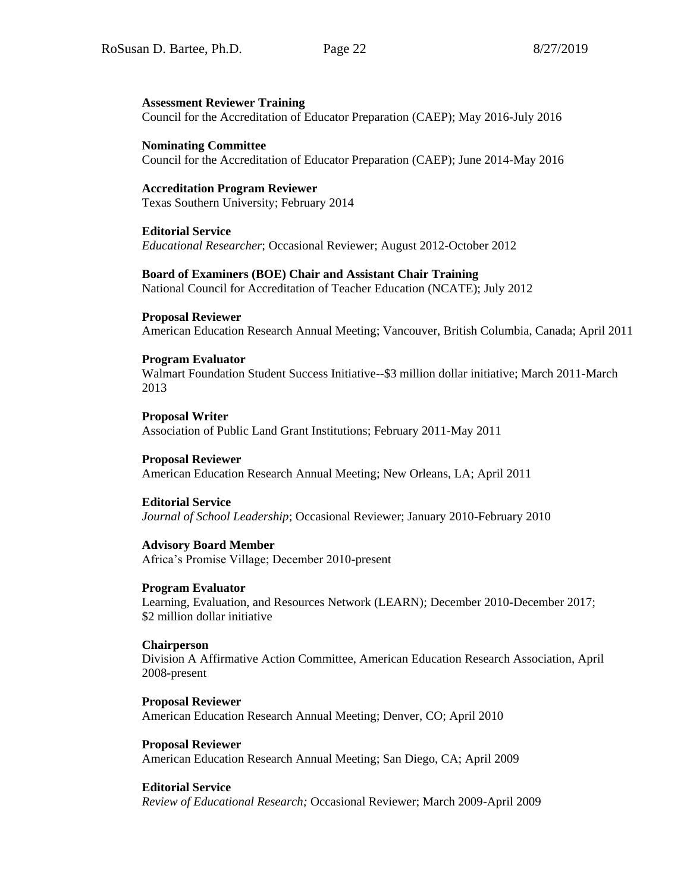#### **Assessment Reviewer Training**

Council for the Accreditation of Educator Preparation (CAEP); May 2016-July 2016

**Nominating Committee** Council for the Accreditation of Educator Preparation (CAEP); June 2014-May 2016

**Accreditation Program Reviewer** Texas Southern University; February 2014

**Editorial Service** *Educational Researcher*; Occasional Reviewer; August 2012-October 2012

#### **Board of Examiners (BOE) Chair and Assistant Chair Training**

National Council for Accreditation of Teacher Education (NCATE); July 2012

#### **Proposal Reviewer**

American Education Research Annual Meeting; Vancouver, British Columbia, Canada; April 2011

#### **Program Evaluator**

Walmart Foundation Student Success Initiative--\$3 million dollar initiative; March 2011-March 2013

**Proposal Writer** Association of Public Land Grant Institutions; February 2011-May 2011

**Proposal Reviewer** American Education Research Annual Meeting; New Orleans, LA; April 2011

#### **Editorial Service**

*Journal of School Leadership*; Occasional Reviewer; January 2010-February 2010

**Advisory Board Member** Africa's Promise Village; December 2010-present

#### **Program Evaluator**

Learning, Evaluation, and Resources Network (LEARN); December 2010-December 2017; \$2 million dollar initiative

#### **Chairperson**

Division A Affirmative Action Committee, American Education Research Association, April 2008-present

**Proposal Reviewer** American Education Research Annual Meeting; Denver, CO; April 2010

**Proposal Reviewer** American Education Research Annual Meeting; San Diego, CA; April 2009

### **Editorial Service**

*Review of Educational Research;* Occasional Reviewer; March 2009-April 2009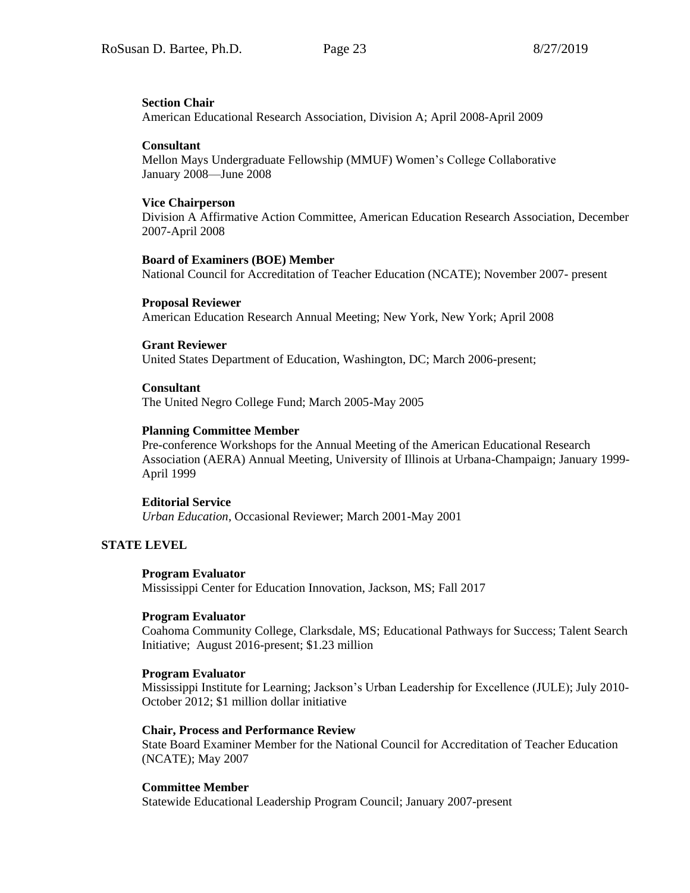#### **Section Chair**

American Educational Research Association, Division A; April 2008-April 2009

#### **Consultant**

Mellon Mays Undergraduate Fellowship (MMUF) Women's College Collaborative January 2008—June 2008

### **Vice Chairperson**

Division A Affirmative Action Committee, American Education Research Association, December 2007-April 2008

### **Board of Examiners (BOE) Member**

National Council for Accreditation of Teacher Education (NCATE); November 2007- present

#### **Proposal Reviewer**

American Education Research Annual Meeting; New York, New York; April 2008

### **Grant Reviewer**

United States Department of Education, Washington, DC; March 2006-present;

#### **Consultant**

The United Negro College Fund; March 2005-May 2005

### **Planning Committee Member**

Pre-conference Workshops for the Annual Meeting of the American Educational Research Association (AERA) Annual Meeting, University of Illinois at Urbana-Champaign; January 1999- April 1999

### **Editorial Service**

*Urban Education*, Occasional Reviewer; March 2001-May 2001

### **STATE LEVEL**

### **Program Evaluator**

Mississippi Center for Education Innovation, Jackson, MS; Fall 2017

### **Program Evaluator**

Coahoma Community College, Clarksdale, MS; Educational Pathways for Success; Talent Search Initiative; August 2016-present; \$1.23 million

### **Program Evaluator**

Mississippi Institute for Learning; Jackson's Urban Leadership for Excellence (JULE); July 2010- October 2012; \$1 million dollar initiative

#### **Chair, Process and Performance Review**

State Board Examiner Member for the National Council for Accreditation of Teacher Education (NCATE); May 2007

### **Committee Member**

Statewide Educational Leadership Program Council; January 2007-present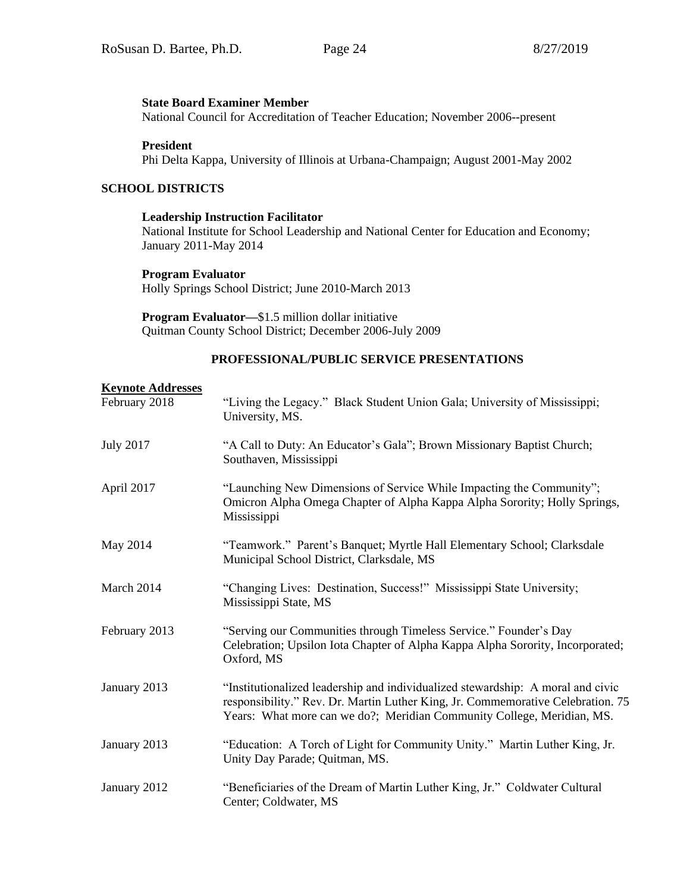#### **State Board Examiner Member**

National Council for Accreditation of Teacher Education; November 2006--present

#### **President**

Phi Delta Kappa, University of Illinois at Urbana-Champaign; August 2001-May 2002

#### **SCHOOL DISTRICTS**

#### **Leadership Instruction Facilitator**

National Institute for School Leadership and National Center for Education and Economy; January 2011-May 2014

#### **Program Evaluator**

Holly Springs School District; June 2010-March 2013

**Program Evaluator—**\$1.5 million dollar initiative Quitman County School District; December 2006-July 2009

#### **PROFESSIONAL/PUBLIC SERVICE PRESENTATIONS**

# **Keynote Addresses** February 2018 "Living the Legacy." Black Student Union Gala; University of Mississippi; University, MS. July 2017 "A Call to Duty: An Educator's Gala"; Brown Missionary Baptist Church; Southaven, Mississippi April 2017 "Launching New Dimensions of Service While Impacting the Community"; Omicron Alpha Omega Chapter of Alpha Kappa Alpha Sorority; Holly Springs, Mississippi May 2014 "Teamwork." Parent's Banquet; Myrtle Hall Elementary School; Clarksdale Municipal School District, Clarksdale, MS March 2014 "Changing Lives: Destination, Success!" Mississippi State University; Mississippi State, MS February 2013 "Serving our Communities through Timeless Service." Founder's Day Celebration; Upsilon Iota Chapter of Alpha Kappa Alpha Sorority, Incorporated; Oxford, MS January 2013 "Institutionalized leadership and individualized stewardship: A moral and civic responsibility." Rev. Dr. Martin Luther King, Jr. Commemorative Celebration. 75 Years: What more can we do?; Meridian Community College, Meridian, MS. January 2013 "Education: A Torch of Light for Community Unity." Martin Luther King, Jr. Unity Day Parade; Quitman, MS. January 2012 "Beneficiaries of the Dream of Martin Luther King, Jr." Coldwater Cultural Center; Coldwater, MS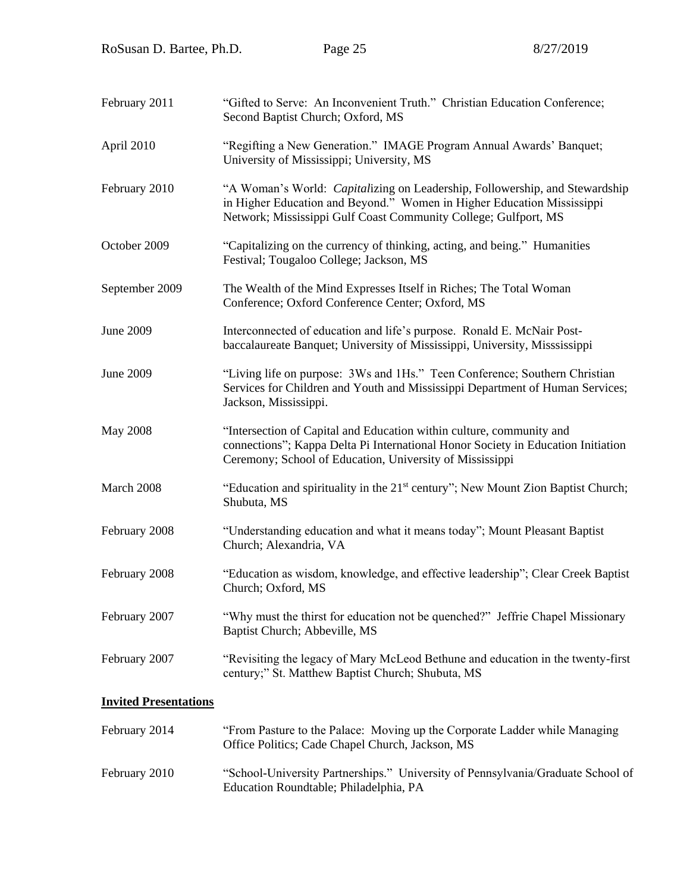| "Gifted to Serve: An Inconvenient Truth." Christian Education Conference;<br>Second Baptist Church; Oxford, MS                                                                                                           |
|--------------------------------------------------------------------------------------------------------------------------------------------------------------------------------------------------------------------------|
| "Regifting a New Generation." IMAGE Program Annual Awards' Banquet;<br>University of Mississippi; University, MS                                                                                                         |
| "A Woman's World: Capitalizing on Leadership, Followership, and Stewardship<br>in Higher Education and Beyond." Women in Higher Education Mississippi<br>Network; Mississippi Gulf Coast Community College; Gulfport, MS |
| "Capitalizing on the currency of thinking, acting, and being." Humanities<br>Festival; Tougaloo College; Jackson, MS                                                                                                     |
| The Wealth of the Mind Expresses Itself in Riches; The Total Woman<br>Conference; Oxford Conference Center; Oxford, MS                                                                                                   |
| Interconnected of education and life's purpose. Ronald E. McNair Post-<br>baccalaureate Banquet; University of Mississippi, University, Misssissippi                                                                     |
| "Living life on purpose: 3Ws and 1Hs." Teen Conference; Southern Christian<br>Services for Children and Youth and Mississippi Department of Human Services;<br>Jackson, Mississippi.                                     |
| "Intersection of Capital and Education within culture, community and<br>connections"; Kappa Delta Pi International Honor Society in Education Initiation<br>Ceremony; School of Education, University of Mississippi     |
| "Education and spirituality in the 21 <sup>st</sup> century"; New Mount Zion Baptist Church;<br>Shubuta, MS                                                                                                              |
| "Understanding education and what it means today"; Mount Pleasant Baptist<br>Church; Alexandria, VA                                                                                                                      |
| "Education as wisdom, knowledge, and effective leadership"; Clear Creek Baptist<br>Church; Oxford, MS                                                                                                                    |
| "Why must the thirst for education not be quenched?" Jeffrie Chapel Missionary<br>Baptist Church; Abbeville, MS                                                                                                          |
| "Revisiting the legacy of Mary McLeod Bethune and education in the twenty-first<br>century;" St. Matthew Baptist Church; Shubuta, MS                                                                                     |
|                                                                                                                                                                                                                          |
| "From Pasture to the Palace: Moving up the Corporate Ladder while Managing<br>Office Politics; Cade Chapel Church, Jackson, MS                                                                                           |
|                                                                                                                                                                                                                          |

February 2010 "School-University Partnerships." University of Pennsylvania/Graduate School of Education Roundtable; Philadelphia, PA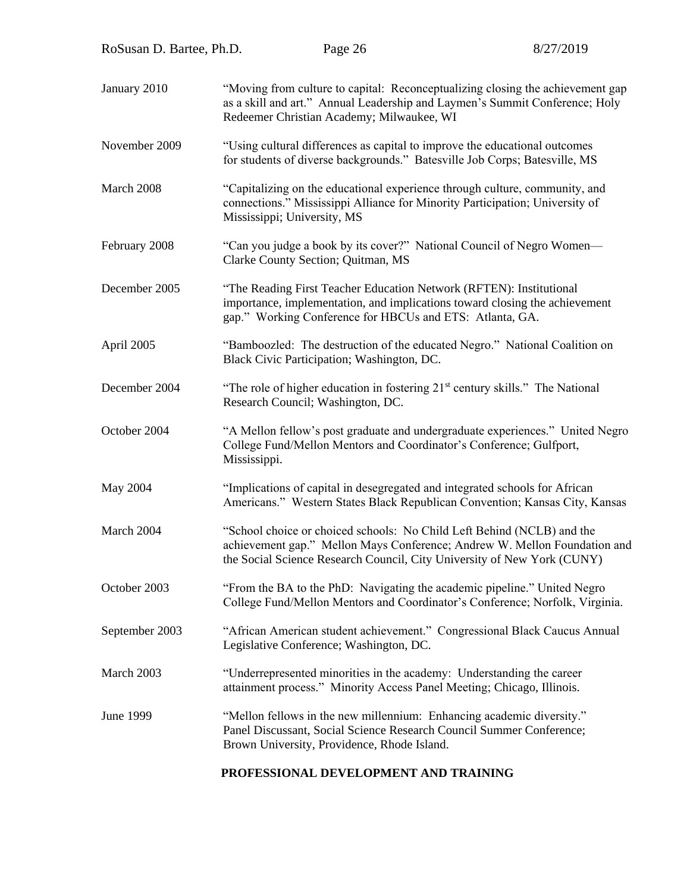| RoSusan D. Bartee, Ph.D. | Page 26                                                                                                                                                                                                                        | 8/27/2019 |
|--------------------------|--------------------------------------------------------------------------------------------------------------------------------------------------------------------------------------------------------------------------------|-----------|
| January 2010             | "Moving from culture to capital: Reconceptualizing closing the achievement gap<br>as a skill and art." Annual Leadership and Laymen's Summit Conference; Holy<br>Redeemer Christian Academy; Milwaukee, WI                     |           |
| November 2009            | "Using cultural differences as capital to improve the educational outcomes<br>for students of diverse backgrounds." Batesville Job Corps; Batesville, MS                                                                       |           |
| March 2008               | "Capitalizing on the educational experience through culture, community, and<br>connections." Mississippi Alliance for Minority Participation; University of<br>Mississippi; University, MS                                     |           |
| February 2008            | "Can you judge a book by its cover?" National Council of Negro Women-<br>Clarke County Section; Quitman, MS                                                                                                                    |           |
| December 2005            | "The Reading First Teacher Education Network (RFTEN): Institutional<br>importance, implementation, and implications toward closing the achievement<br>gap." Working Conference for HBCUs and ETS: Atlanta, GA.                 |           |
| April 2005               | "Bamboozled: The destruction of the educated Negro." National Coalition on<br>Black Civic Participation; Washington, DC.                                                                                                       |           |
| December 2004            | "The role of higher education in fostering 21 <sup>st</sup> century skills." The National<br>Research Council; Washington, DC.                                                                                                 |           |
| October 2004             | "A Mellon fellow's post graduate and undergraduate experiences." United Negro<br>College Fund/Mellon Mentors and Coordinator's Conference; Gulfport,<br>Mississippi.                                                           |           |
| May 2004                 | "Implications of capital in desegregated and integrated schools for African<br>Americans." Western States Black Republican Convention; Kansas City, Kansas                                                                     |           |
| March 2004               | "School choice or choiced schools: No Child Left Behind (NCLB) and the<br>achievement gap." Mellon Mays Conference; Andrew W. Mellon Foundation and<br>the Social Science Research Council, City University of New York (CUNY) |           |
| October 2003             | "From the BA to the PhD: Navigating the academic pipeline." United Negro<br>College Fund/Mellon Mentors and Coordinator's Conference; Norfolk, Virginia.                                                                       |           |
| September 2003           | "African American student achievement." Congressional Black Caucus Annual<br>Legislative Conference; Washington, DC.                                                                                                           |           |
|                          |                                                                                                                                                                                                                                |           |

- March 2003 "Underrepresented minorities in the academy: Understanding the career attainment process." Minority Access Panel Meeting; Chicago, Illinois.
- June 1999 "Mellon fellows in the new millennium: Enhancing academic diversity." Panel Discussant, Social Science Research Council Summer Conference; Brown University, Providence, Rhode Island.

# **PROFESSIONAL DEVELOPMENT AND TRAINING**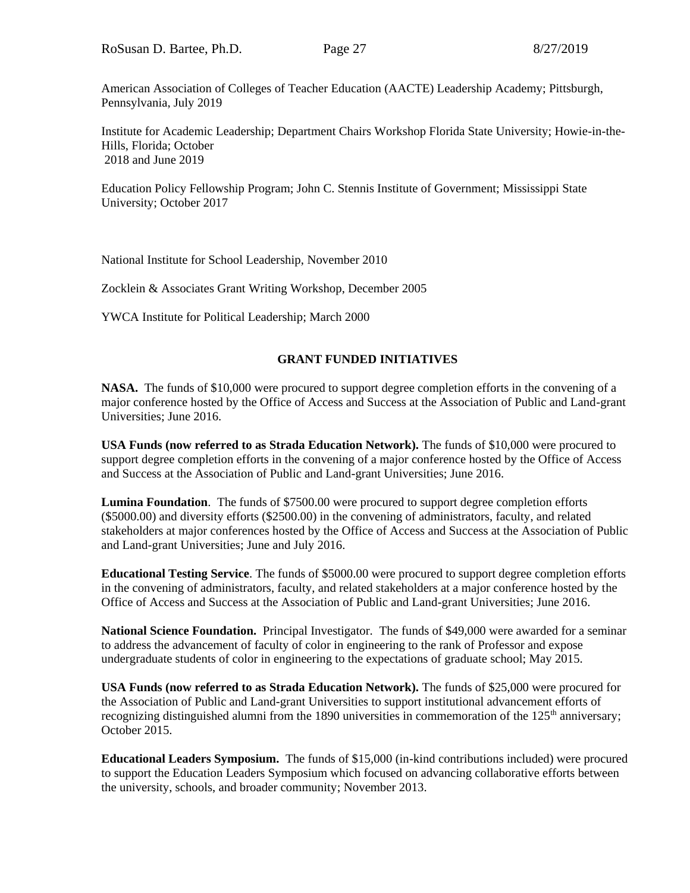American Association of Colleges of Teacher Education (AACTE) Leadership Academy; Pittsburgh, Pennsylvania, July 2019

Institute for Academic Leadership; Department Chairs Workshop Florida State University; Howie-in-the-Hills, Florida; October 2018 and June 2019

Education Policy Fellowship Program; John C. Stennis Institute of Government; Mississippi State University; October 2017

National Institute for School Leadership, November 2010

Zocklein & Associates Grant Writing Workshop, December 2005

YWCA Institute for Political Leadership; March 2000

# **GRANT FUNDED INITIATIVES**

**NASA.** The funds of \$10,000 were procured to support degree completion efforts in the convening of a major conference hosted by the Office of Access and Success at the Association of Public and Land-grant Universities; June 2016.

**USA Funds (now referred to as Strada Education Network).** The funds of \$10,000 were procured to support degree completion efforts in the convening of a major conference hosted by the Office of Access and Success at the Association of Public and Land-grant Universities; June 2016.

**Lumina Foundation**. The funds of \$7500.00 were procured to support degree completion efforts (\$5000.00) and diversity efforts (\$2500.00) in the convening of administrators, faculty, and related stakeholders at major conferences hosted by the Office of Access and Success at the Association of Public and Land-grant Universities; June and July 2016.

**Educational Testing Service**. The funds of \$5000.00 were procured to support degree completion efforts in the convening of administrators, faculty, and related stakeholders at a major conference hosted by the Office of Access and Success at the Association of Public and Land-grant Universities; June 2016.

**National Science Foundation.** Principal Investigator. The funds of \$49,000 were awarded for a seminar to address the advancement of faculty of color in engineering to the rank of Professor and expose undergraduate students of color in engineering to the expectations of graduate school; May 2015.

**USA Funds (now referred to as Strada Education Network).** The funds of \$25,000 were procured for the Association of Public and Land-grant Universities to support institutional advancement efforts of recognizing distinguished alumni from the 1890 universities in commemoration of the  $125<sup>th</sup>$  anniversary; October 2015.

**Educational Leaders Symposium.** The funds of \$15,000 (in-kind contributions included) were procured to support the Education Leaders Symposium which focused on advancing collaborative efforts between the university, schools, and broader community; November 2013.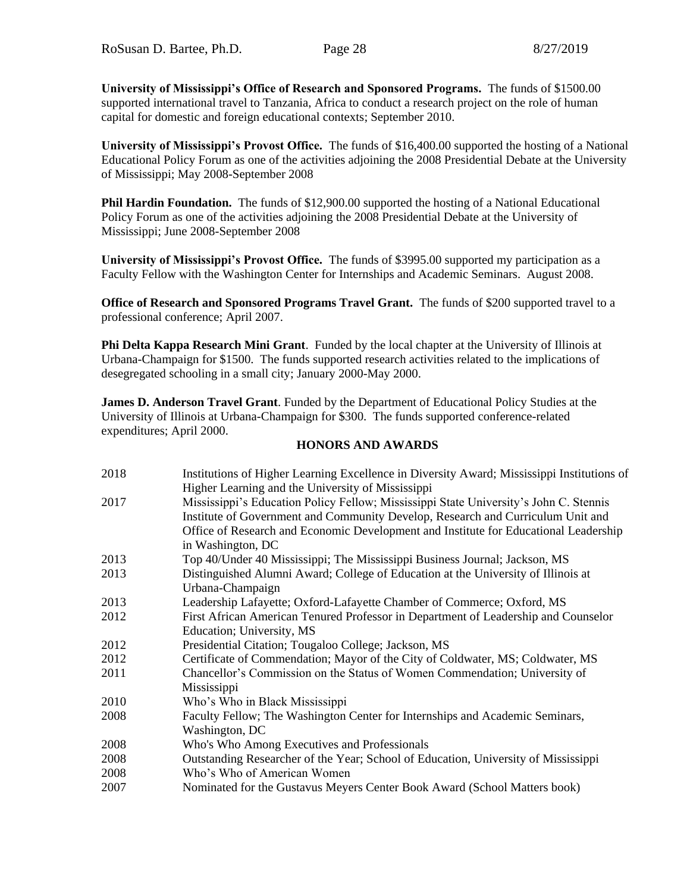**University of Mississippi's Office of Research and Sponsored Programs.** The funds of \$1500.00 supported international travel to Tanzania, Africa to conduct a research project on the role of human capital for domestic and foreign educational contexts; September 2010.

**University of Mississippi's Provost Office.** The funds of \$16,400.00 supported the hosting of a National Educational Policy Forum as one of the activities adjoining the 2008 Presidential Debate at the University of Mississippi; May 2008-September 2008

**Phil Hardin Foundation.** The funds of \$12,900.00 supported the hosting of a National Educational Policy Forum as one of the activities adjoining the 2008 Presidential Debate at the University of Mississippi; June 2008-September 2008

**University of Mississippi's Provost Office.** The funds of \$3995.00 supported my participation as a Faculty Fellow with the Washington Center for Internships and Academic Seminars. August 2008.

**Office of Research and Sponsored Programs Travel Grant.** The funds of \$200 supported travel to a professional conference; April 2007.

**Phi Delta Kappa Research Mini Grant**. Funded by the local chapter at the University of Illinois at Urbana-Champaign for \$1500. The funds supported research activities related to the implications of desegregated schooling in a small city; January 2000-May 2000.

**James D. Anderson Travel Grant**. Funded by the Department of Educational Policy Studies at the University of Illinois at Urbana-Champaign for \$300. The funds supported conference-related expenditures; April 2000.

### **HONORS AND AWARDS**

| 2018 | Institutions of Higher Learning Excellence in Diversity Award; Mississippi Institutions of |
|------|--------------------------------------------------------------------------------------------|
|      | Higher Learning and the University of Mississippi                                          |
| 2017 | Mississippi's Education Policy Fellow; Mississippi State University's John C. Stennis      |
|      | Institute of Government and Community Develop, Research and Curriculum Unit and            |
|      | Office of Research and Economic Development and Institute for Educational Leadership       |
|      | in Washington, DC                                                                          |
| 2013 | Top 40/Under 40 Mississippi; The Mississippi Business Journal; Jackson, MS                 |
| 2013 | Distinguished Alumni Award; College of Education at the University of Illinois at          |
|      | Urbana-Champaign                                                                           |
| 2013 | Leadership Lafayette; Oxford-Lafayette Chamber of Commerce; Oxford, MS                     |
| 2012 | First African American Tenured Professor in Department of Leadership and Counselor         |
|      | Education; University, MS                                                                  |
| 2012 | Presidential Citation; Tougaloo College; Jackson, MS                                       |
| 2012 | Certificate of Commendation; Mayor of the City of Coldwater, MS; Coldwater, MS             |
| 2011 | Chancellor's Commission on the Status of Women Commendation; University of                 |
|      | Mississippi                                                                                |
| 2010 | Who's Who in Black Mississippi                                                             |
| 2008 | Faculty Fellow; The Washington Center for Internships and Academic Seminars,               |
|      | Washington, DC                                                                             |
| 2008 | Who's Who Among Executives and Professionals                                               |
| 2008 | Outstanding Researcher of the Year; School of Education, University of Mississippi         |
| 2008 | Who's Who of American Women                                                                |
| 2007 | Nominated for the Gustavus Meyers Center Book Award (School Matters book)                  |
|      |                                                                                            |